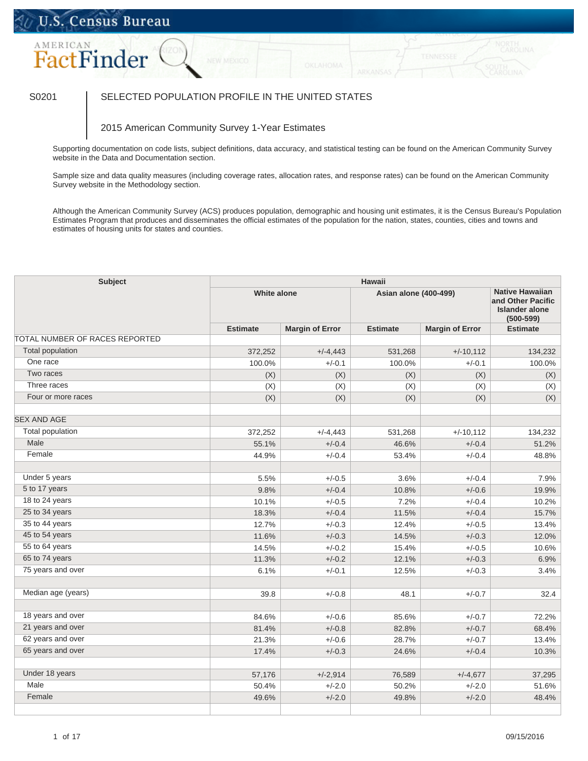## U.S. Census Bureau

# AMERICAN FactFinder

### S0201 SELECTED POPULATION PROFILE IN THE UNITED STATES

#### 2015 American Community Survey 1-Year Estimates

Supporting documentation on code lists, subject definitions, data accuracy, and statistical testing can be found on the American Community Survey website in the Data and Documentation section.

Sample size and data quality measures (including coverage rates, allocation rates, and response rates) can be found on the American Community Survey website in the Methodology section.

Although the American Community Survey (ACS) produces population, demographic and housing unit estimates, it is the Census Bureau's Population Estimates Program that produces and disseminates the official estimates of the population for the nation, states, counties, cities and towns and estimates of housing units for states and counties.

| <b>Subject</b>                 | <b>Hawaii</b><br><b>Native Hawaiian</b> |                        |                 |                        |                 |  |  |
|--------------------------------|-----------------------------------------|------------------------|-----------------|------------------------|-----------------|--|--|
|                                |                                         | <b>White alone</b>     |                 | Asian alone (400-499)  |                 |  |  |
|                                | <b>Estimate</b>                         | <b>Margin of Error</b> | <b>Estimate</b> | <b>Margin of Error</b> | <b>Estimate</b> |  |  |
| TOTAL NUMBER OF RACES REPORTED |                                         |                        |                 |                        |                 |  |  |
| <b>Total population</b>        | 372,252                                 | $+/-4,443$             | 531,268         | $+/-10,112$            | 134,232         |  |  |
| One race                       | 100.0%                                  | $+/-0.1$               | 100.0%          | $+/-0.1$               | 100.0%          |  |  |
| Two races                      | (X)                                     | (X)                    | (X)             | (X)                    | (X)             |  |  |
| Three races                    | (X)                                     | (X)                    | (X)             | (X)                    | (X)             |  |  |
| Four or more races             | (X)                                     | (X)                    | (X)             | (X)                    | (X)             |  |  |
| <b>SEX AND AGE</b>             |                                         |                        |                 |                        |                 |  |  |
| <b>Total population</b>        | 372,252                                 | $+/-4,443$             | 531,268         | $+/-10,112$            | 134,232         |  |  |
| Male                           | 55.1%                                   | $+/-0.4$               | 46.6%           | $+/-0.4$               | 51.2%           |  |  |
| Female                         | 44.9%                                   | $+/-0.4$               | 53.4%           | $+/-0.4$               | 48.8%           |  |  |
| Under 5 years                  | 5.5%                                    | $+/-0.5$               | 3.6%            | $+/-0.4$               | 7.9%            |  |  |
| 5 to 17 years                  | 9.8%                                    | $+/-0.4$               | 10.8%           | $+/-0.6$               | 19.9%           |  |  |
| 18 to 24 years                 | 10.1%                                   | $+/-0.5$               | 7.2%            | $+/-0.4$               | 10.2%           |  |  |
| 25 to 34 years                 | 18.3%                                   | $+/-0.4$               | 11.5%           | $+/-0.4$               | 15.7%           |  |  |
| 35 to 44 years                 | 12.7%                                   | $+/-0.3$               | 12.4%           | $+/-0.5$               | 13.4%           |  |  |
| 45 to 54 years                 | 11.6%                                   | $+/-0.3$               | 14.5%           | $+/-0.3$               | 12.0%           |  |  |
| 55 to 64 years                 | 14.5%                                   | $+/-0.2$               | 15.4%           | $+/-0.5$               | 10.6%           |  |  |
| 65 to 74 years                 | 11.3%                                   | $+/-0.2$               | 12.1%           | $+/-0.3$               | 6.9%            |  |  |
| 75 years and over              | 6.1%                                    | $+/-0.1$               | 12.5%           | $+/-0.3$               | 3.4%            |  |  |
| Median age (years)             | 39.8                                    | $+/-0.8$               | 48.1            | $+/-0.7$               | 32.4            |  |  |
|                                |                                         |                        |                 |                        |                 |  |  |
| 18 years and over              | 84.6%                                   | $+/-0.6$               | 85.6%           | $+/-0.7$               | 72.2%           |  |  |
| 21 years and over              | 81.4%                                   | $+/-0.8$               | 82.8%           | $+/-0.7$               | 68.4%           |  |  |
| 62 years and over              | 21.3%                                   | $+/-0.6$               | 28.7%           | $+/-0.7$               | 13.4%           |  |  |
| 65 years and over              | 17.4%                                   | $+/-0.3$               | 24.6%           | $+/-0.4$               | 10.3%           |  |  |
| Under 18 years                 | 57,176                                  | $+/-2,914$             | 76,589          | $+/-4,677$             | 37,295          |  |  |
| Male                           | 50.4%                                   | $+/-2.0$               | 50.2%           | $+/-2.0$               | 51.6%           |  |  |
| Female                         | 49.6%                                   | $+/-2.0$               | 49.8%           | $+/-2.0$               | 48.4%           |  |  |
|                                |                                         |                        |                 |                        |                 |  |  |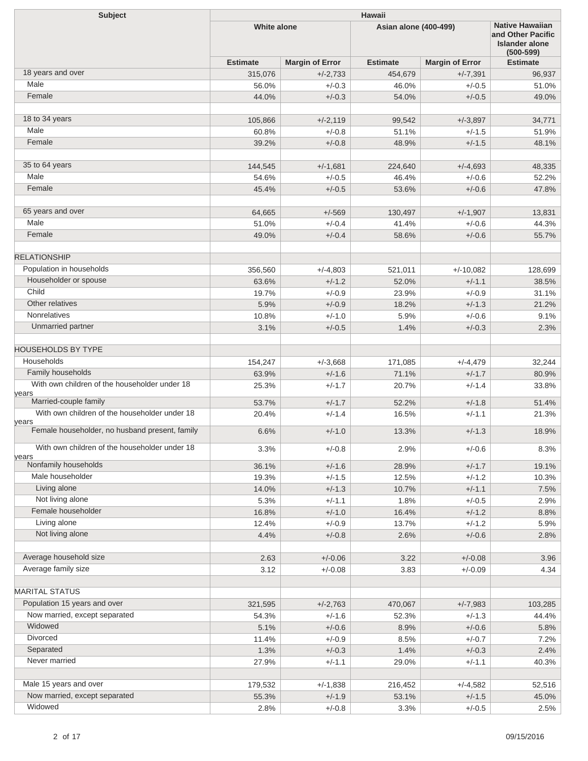| Subject                                        | Hawaii             |                        |                              |                         |                                                                                       |  |  |
|------------------------------------------------|--------------------|------------------------|------------------------------|-------------------------|---------------------------------------------------------------------------------------|--|--|
|                                                | <b>White alone</b> |                        | <b>Asian alone (400-499)</b> |                         | <b>Native Hawaiian</b><br>and Other Pacific<br><b>Islander alone</b><br>$(500 - 599)$ |  |  |
|                                                | <b>Estimate</b>    | <b>Margin of Error</b> | <b>Estimate</b>              | <b>Margin of Error</b>  | <b>Estimate</b>                                                                       |  |  |
| 18 years and over                              | 315,076            | $+/-2,733$             | 454,679                      | $+/-7,391$              | 96,937                                                                                |  |  |
| Male                                           | 56.0%              | $+/-0.3$               | 46.0%                        | $+/-0.5$                | 51.0%                                                                                 |  |  |
| Female                                         | 44.0%              | $+/-0.3$               | 54.0%                        | $+/-0.5$                | 49.0%                                                                                 |  |  |
|                                                |                    |                        |                              |                         |                                                                                       |  |  |
| 18 to 34 years                                 | 105,866            | $+/-2,119$             | 99,542                       | $+/-3,897$              | 34,771                                                                                |  |  |
| Male                                           | 60.8%              | $+/-0.8$               | 51.1%                        | $+/-1.5$                | 51.9%                                                                                 |  |  |
| Female                                         | 39.2%              | $+/-0.8$               | 48.9%                        | $+/-1.5$                | 48.1%                                                                                 |  |  |
|                                                |                    |                        |                              |                         |                                                                                       |  |  |
| 35 to 64 years                                 | 144,545            | $+/-1,681$             | 224,640                      | $+/-4,693$              | 48,335                                                                                |  |  |
| Male                                           | 54.6%              | $+/-0.5$               | 46.4%                        | $+/-0.6$                | 52.2%                                                                                 |  |  |
| Female                                         | 45.4%              | $+/-0.5$               | 53.6%                        | $+/-0.6$                | 47.8%                                                                                 |  |  |
|                                                |                    |                        |                              |                         |                                                                                       |  |  |
| 65 years and over                              | 64,665             | $+/-569$               | 130,497                      | $+/-1,907$              | 13,831                                                                                |  |  |
| Male                                           | 51.0%              | $+/-0.4$               | 41.4%                        | $+/-0.6$                | 44.3%                                                                                 |  |  |
| Female                                         | 49.0%              | $+/-0.4$               | 58.6%                        | $+/-0.6$                | 55.7%                                                                                 |  |  |
| <b>RELATIONSHIP</b>                            |                    |                        |                              |                         |                                                                                       |  |  |
| Population in households                       |                    |                        |                              |                         | 128,699                                                                               |  |  |
| Householder or spouse                          | 356,560            | $+/-4,803$<br>$+/-1.2$ | 521,011                      | $+/-10,082$<br>$+/-1.1$ |                                                                                       |  |  |
| Child                                          | 63.6%              | $+/-0.9$               | 52.0%<br>23.9%               | $+/-0.9$                | 38.5%                                                                                 |  |  |
| Other relatives                                | 19.7%              | $+/-0.9$               |                              | $+/-1.3$                | 31.1%                                                                                 |  |  |
| Nonrelatives                                   | 5.9%               | $+/-1.0$               | 18.2%<br>5.9%                | $+/-0.6$                | 21.2%                                                                                 |  |  |
| Unmarried partner                              | 10.8%<br>3.1%      | $+/-0.5$               | 1.4%                         | $+/-0.3$                | 9.1%<br>2.3%                                                                          |  |  |
|                                                |                    |                        |                              |                         |                                                                                       |  |  |
| <b>HOUSEHOLDS BY TYPE</b>                      |                    |                        |                              |                         |                                                                                       |  |  |
| Households                                     | 154,247            | $+/-3,668$             | 171,085                      | $+/-4,479$              | 32,244                                                                                |  |  |
| Family households                              | 63.9%              | $+/-1.6$               | 71.1%                        | $+/-1.7$                | 80.9%                                                                                 |  |  |
| With own children of the householder under 18  | 25.3%              | $+/-1.7$               | 20.7%                        | $+/-1.4$                | 33.8%                                                                                 |  |  |
| years<br>Married-couple family                 |                    |                        |                              |                         |                                                                                       |  |  |
| With own children of the householder under 18  | 53.7%              | $+/-1.7$<br>$+/-1.4$   | 52.2%                        | $+/-1.8$                | 51.4%                                                                                 |  |  |
| years                                          | 20.4%              |                        | 16.5%                        | $+/-1.1$                | 21.3%                                                                                 |  |  |
| Female householder, no husband present, family | 6.6%               | $+/-1.0$               | 13.3%                        | $+/-1.3$                | 18.9%                                                                                 |  |  |
| With own children of the householder under 18  | 3.3%               | $+/-0.8$               | 2.9%                         | $+/-0.6$                | 8.3%                                                                                  |  |  |
| years                                          |                    |                        |                              |                         |                                                                                       |  |  |
| Nonfamily households<br>Male householder       | 36.1%              | $+/-1.6$               | 28.9%                        | $+/-1.7$                | 19.1%                                                                                 |  |  |
| Living alone                                   | 19.3%              | $+/-1.5$               | 12.5%                        | $+/-1.2$                | 10.3%                                                                                 |  |  |
|                                                | 14.0%              | $+/-1.3$               | 10.7%                        | $+/-1.1$                | 7.5%                                                                                  |  |  |
| Not living alone<br>Female householder         | 5.3%               | $+/-1.1$               | 1.8%                         | $+/-0.5$                | 2.9%                                                                                  |  |  |
| Living alone                                   | 16.8%              | $+/-1.0$               | 16.4%                        | $+/-1.2$                | 8.8%                                                                                  |  |  |
| Not living alone                               | 12.4%              | $+/-0.9$               | 13.7%                        | $+/-1.2$                | 5.9%                                                                                  |  |  |
|                                                | 4.4%               | $+/-0.8$               | 2.6%                         | $+/-0.6$                | 2.8%                                                                                  |  |  |
| Average household size                         | 2.63               | $+/-0.06$              | 3.22                         | $+/-0.08$               | 3.96                                                                                  |  |  |
| Average family size                            | 3.12               | $+/-0.08$              | 3.83                         | $+/-0.09$               | 4.34                                                                                  |  |  |
|                                                |                    |                        |                              |                         |                                                                                       |  |  |
| <b>MARITAL STATUS</b>                          |                    |                        |                              |                         |                                                                                       |  |  |
| Population 15 years and over                   | 321,595            | $+/-2,763$             | 470,067                      | $+/-7,983$              | 103,285                                                                               |  |  |
| Now married, except separated                  | 54.3%              | $+/-1.6$               | 52.3%                        | $+/-1.3$                | 44.4%                                                                                 |  |  |
| Widowed                                        | 5.1%               | $+/-0.6$               | 8.9%                         | $+/-0.6$                | 5.8%                                                                                  |  |  |
| Divorced                                       | 11.4%              | $+/-0.9$               | 8.5%                         | $+/-0.7$                | 7.2%                                                                                  |  |  |
| Separated                                      | 1.3%               | $+/-0.3$               | 1.4%                         | $+/-0.3$                | 2.4%                                                                                  |  |  |
| Never married                                  | 27.9%              | $+/-1.1$               | 29.0%                        | $+/-1.1$                | 40.3%                                                                                 |  |  |
|                                                |                    |                        |                              |                         |                                                                                       |  |  |
| Male 15 years and over                         | 179,532            | $+/-1,838$             | 216,452                      | $+/-4,582$              | 52,516                                                                                |  |  |
| Now married, except separated                  | 55.3%              | $+/-1.9$               | 53.1%                        | $+/-1.5$                | 45.0%                                                                                 |  |  |
| Widowed                                        | 2.8%               | $+/-0.8$               | 3.3%                         | $+/-0.5$                | 2.5%                                                                                  |  |  |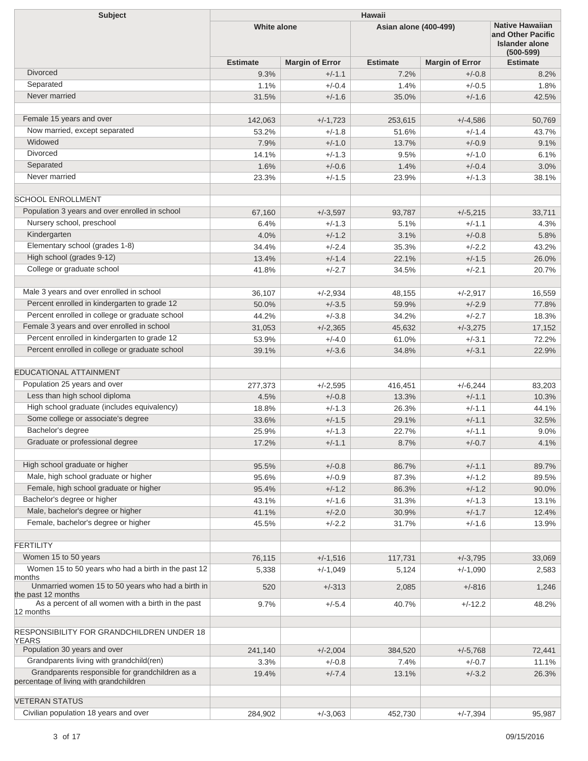| <b>Subject</b>                                                                             | <b>Hawaii</b>      |                        |                       |                        |                                                                                |  |  |
|--------------------------------------------------------------------------------------------|--------------------|------------------------|-----------------------|------------------------|--------------------------------------------------------------------------------|--|--|
|                                                                                            | <b>White alone</b> |                        | Asian alone (400-499) |                        | <b>Native Hawaiian</b><br>and Other Pacific<br>Islander alone<br>$(500 - 599)$ |  |  |
|                                                                                            | <b>Estimate</b>    | <b>Margin of Error</b> | <b>Estimate</b>       | <b>Margin of Error</b> | <b>Estimate</b>                                                                |  |  |
| <b>Divorced</b>                                                                            | 9.3%               | $+/-1.1$               | 7.2%                  | $+/-0.8$               | 8.2%                                                                           |  |  |
| Separated                                                                                  | 1.1%               | $+/-0.4$               | 1.4%                  | $+/-0.5$               | 1.8%                                                                           |  |  |
| Never married                                                                              | 31.5%              | $+/-1.6$               | 35.0%                 | $+/-1.6$               | 42.5%                                                                          |  |  |
|                                                                                            |                    |                        |                       |                        |                                                                                |  |  |
| Female 15 years and over                                                                   | 142,063            | $+/-1,723$             | 253,615               | $+/-4.586$             | 50,769                                                                         |  |  |
| Now married, except separated                                                              | 53.2%              | $+/-1.8$               | 51.6%                 | $+/-1.4$               | 43.7%                                                                          |  |  |
| Widowed<br><b>Divorced</b>                                                                 | 7.9%               | $+/-1.0$               | 13.7%                 | $+/-0.9$               | 9.1%                                                                           |  |  |
|                                                                                            | 14.1%              | $+/-1.3$               | 9.5%                  | $+/-1.0$               | 6.1%                                                                           |  |  |
| Separated<br>Never married                                                                 | 1.6%               | $+/-0.6$               | 1.4%                  | $+/-0.4$               | 3.0%                                                                           |  |  |
|                                                                                            | 23.3%              | $+/-1.5$               | 23.9%                 | $+/-1.3$               | 38.1%                                                                          |  |  |
| <b>SCHOOL ENROLLMENT</b>                                                                   |                    |                        |                       |                        |                                                                                |  |  |
| Population 3 years and over enrolled in school                                             | 67,160             | $+/-3,597$             | 93,787                | $+/-5,215$             | 33,711                                                                         |  |  |
| Nursery school, preschool                                                                  | 6.4%               | $+/-1.3$               | 5.1%                  | $+/-1.1$               | 4.3%                                                                           |  |  |
| Kindergarten                                                                               | 4.0%               | $+/-1.2$               | 3.1%                  | $+/-0.8$               | 5.8%                                                                           |  |  |
| Elementary school (grades 1-8)                                                             | 34.4%              | $+/-2.4$               | 35.3%                 | $+/-2.2$               | 43.2%                                                                          |  |  |
| High school (grades 9-12)                                                                  | 13.4%              | $+/-1.4$               | 22.1%                 | $+/-1.5$               | 26.0%                                                                          |  |  |
| College or graduate school                                                                 | 41.8%              | $+/-2.7$               | 34.5%                 | $+/-2.1$               | 20.7%                                                                          |  |  |
|                                                                                            |                    |                        |                       |                        |                                                                                |  |  |
| Male 3 years and over enrolled in school                                                   | 36,107             | $+/-2,934$             | 48,155                | $+/-2,917$             | 16,559                                                                         |  |  |
| Percent enrolled in kindergarten to grade 12                                               | 50.0%              | $+/-3.5$               | 59.9%                 | $+/-2.9$               | 77.8%                                                                          |  |  |
| Percent enrolled in college or graduate school                                             | 44.2%              | $+/-3.8$               | 34.2%                 | $+/-2.7$               | 18.3%                                                                          |  |  |
| Female 3 years and over enrolled in school                                                 | 31,053             | $+/-2,365$             | 45,632                | $+/-3,275$             | 17,152                                                                         |  |  |
| Percent enrolled in kindergarten to grade 12                                               | 53.9%              | $+/-4.0$               | 61.0%                 | $+/-3.1$               | 72.2%                                                                          |  |  |
| Percent enrolled in college or graduate school                                             | 39.1%              | $+/-3.6$               | 34.8%                 | $+/-3.1$               | 22.9%                                                                          |  |  |
| <b>EDUCATIONAL ATTAINMENT</b>                                                              |                    |                        |                       |                        |                                                                                |  |  |
| Population 25 years and over                                                               | 277,373            | $+/-2,595$             | 416,451               | $+/-6,244$             | 83,203                                                                         |  |  |
| Less than high school diploma                                                              | 4.5%               | $+/-0.8$               | 13.3%                 | $+/-1.1$               | 10.3%                                                                          |  |  |
| High school graduate (includes equivalency)                                                | 18.8%              | $+/-1.3$               | 26.3%                 | $+/-1.1$               | 44.1%                                                                          |  |  |
| Some college or associate's degree                                                         | 33.6%              | $+/-1.5$               | 29.1%                 | $+/-1.1$               | 32.5%                                                                          |  |  |
| Bachelor's degree                                                                          | 25.9%              | $+/-1.3$               | 22.7%                 | $+/-1.1$               | 9.0%                                                                           |  |  |
| Graduate or professional degree                                                            | 17.2%              | $+/-1.1$               | 8.7%                  | $+/-0.7$               | 4.1%                                                                           |  |  |
|                                                                                            |                    |                        |                       |                        |                                                                                |  |  |
| High school graduate or higher<br>Male, high school graduate or higher                     | 95.5%              | $+/-0.8$               | 86.7%                 | $+/-1.1$               | 89.7%                                                                          |  |  |
|                                                                                            | 95.6%              | $+/-0.9$               | 87.3%                 | $+/-1.2$               | 89.5%                                                                          |  |  |
| Female, high school graduate or higher<br>Bachelor's degree or higher                      | 95.4%              | $+/-1.2$               | 86.3%                 | $+/-1.2$               | 90.0%                                                                          |  |  |
| Male, bachelor's degree or higher                                                          | 43.1%              | $+/-1.6$               | 31.3%                 | $+/-1.3$               | 13.1%                                                                          |  |  |
| Female, bachelor's degree or higher                                                        | 41.1%<br>45.5%     | $+/-2.0$<br>$+/-2.2$   | 30.9%<br>31.7%        | $+/-1.7$<br>$+/-1.6$   | 12.4%<br>13.9%                                                                 |  |  |
|                                                                                            |                    |                        |                       |                        |                                                                                |  |  |
| <b>FERTILITY</b>                                                                           |                    |                        |                       |                        |                                                                                |  |  |
| Women 15 to 50 years                                                                       | 76,115             | $+/-1,516$             | 117,731               | $+/-3,795$             | 33,069                                                                         |  |  |
| Women 15 to 50 years who had a birth in the past 12<br>months                              | 5,338              | $+/-1,049$             | 5,124                 | $+/-1,090$             | 2,583                                                                          |  |  |
| Unmarried women 15 to 50 years who had a birth in<br>the past 12 months                    | 520                | $+/-313$               | 2,085                 | $+/-816$               | 1,246                                                                          |  |  |
| As a percent of all women with a birth in the past                                         | 9.7%               | $+/-5.4$               | 40.7%                 | $+/-12.2$              | 48.2%                                                                          |  |  |
| 12 months                                                                                  |                    |                        |                       |                        |                                                                                |  |  |
| RESPONSIBILITY FOR GRANDCHILDREN UNDER 18                                                  |                    |                        |                       |                        |                                                                                |  |  |
| <b>YEARS</b><br>Population 30 years and over                                               | 241,140            | $+/-2,004$             | 384,520               | $+/-5,768$             | 72,441                                                                         |  |  |
| Grandparents living with grandchild(ren)                                                   | 3.3%               | $+/-0.8$               | 7.4%                  | $+/-0.7$               | 11.1%                                                                          |  |  |
| Grandparents responsible for grandchildren as a<br>percentage of living with grandchildren | 19.4%              | $+/-7.4$               | 13.1%                 | $+/-3.2$               | 26.3%                                                                          |  |  |
|                                                                                            |                    |                        |                       |                        |                                                                                |  |  |
| <b>VETERAN STATUS</b><br>Civilian population 18 years and over                             |                    |                        |                       |                        |                                                                                |  |  |
|                                                                                            | 284,902            | $+/-3,063$             | 452,730               | $+/-7,394$             | 95,987                                                                         |  |  |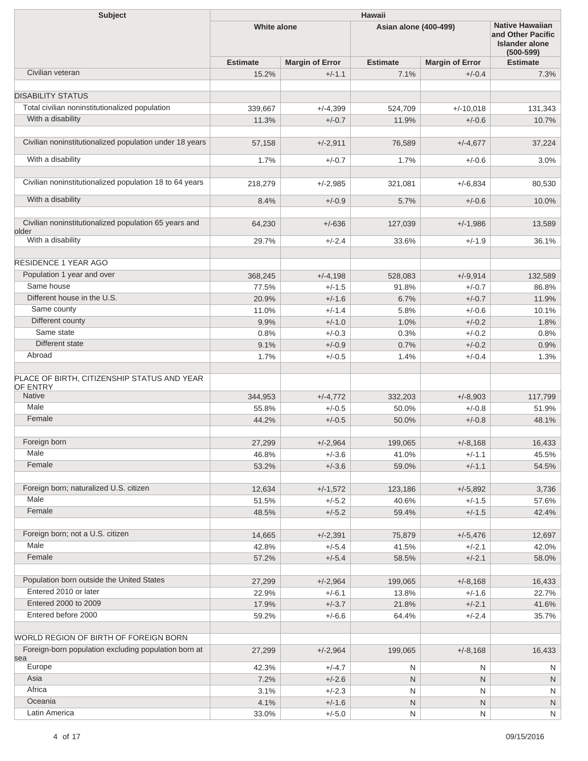| <b>Subject</b>                                              | <b>Hawaii</b>   |                        |                              |                        |                                                                                       |  |  |
|-------------------------------------------------------------|-----------------|------------------------|------------------------------|------------------------|---------------------------------------------------------------------------------------|--|--|
|                                                             | White alone     |                        | <b>Asian alone (400-499)</b> |                        | <b>Native Hawaiian</b><br>and Other Pacific<br><b>Islander alone</b><br>$(500 - 599)$ |  |  |
|                                                             | <b>Estimate</b> | <b>Margin of Error</b> | <b>Estimate</b>              | <b>Margin of Error</b> | <b>Estimate</b>                                                                       |  |  |
| Civilian veteran                                            | 15.2%           | $+/-1.1$               | 7.1%                         | $+/-0.4$               | 7.3%                                                                                  |  |  |
|                                                             |                 |                        |                              |                        |                                                                                       |  |  |
| <b>DISABILITY STATUS</b>                                    |                 |                        |                              |                        |                                                                                       |  |  |
| Total civilian noninstitutionalized population              | 339,667         | $+/-4,399$             | 524,709                      | $+/-10,018$            | 131,343                                                                               |  |  |
| With a disability                                           | 11.3%           | $+/-0.7$               | 11.9%                        | $+/-0.6$               | 10.7%                                                                                 |  |  |
| Civilian noninstitutionalized population under 18 years     | 57,158          | $+/-2,911$             | 76,589                       | $+/-4,677$             | 37,224                                                                                |  |  |
| With a disability                                           | 1.7%            | $+/-0.7$               | 1.7%                         | $+/-0.6$               | 3.0%                                                                                  |  |  |
|                                                             |                 |                        |                              |                        |                                                                                       |  |  |
| Civilian noninstitutionalized population 18 to 64 years     | 218,279         | $+/-2,985$             | 321,081                      | $+/-6,834$             | 80,530                                                                                |  |  |
| With a disability                                           | 8.4%            | $+/-0.9$               | 5.7%                         | $+/-0.6$               | 10.0%                                                                                 |  |  |
| Civilian noninstitutionalized population 65 years and       | 64,230          | $+/-636$               | 127,039                      | $+/-1,986$             | 13,589                                                                                |  |  |
| older<br>With a disability                                  | 29.7%           | $+/-2.4$               | 33.6%                        | $+/-1.9$               | 36.1%                                                                                 |  |  |
|                                                             |                 |                        |                              |                        |                                                                                       |  |  |
| <b>RESIDENCE 1 YEAR AGO</b>                                 |                 |                        |                              |                        |                                                                                       |  |  |
| Population 1 year and over                                  | 368,245         | $+/-4,198$             | 528,083                      | $+/-9.914$             | 132,589                                                                               |  |  |
| Same house                                                  | 77.5%           | $+/-1.5$               | 91.8%                        | $+/-0.7$               | 86.8%                                                                                 |  |  |
| Different house in the U.S.                                 | 20.9%           | $+/-1.6$               | 6.7%                         | $+/-0.7$               | 11.9%                                                                                 |  |  |
| Same county                                                 | 11.0%           | $+/-1.4$               | 5.8%                         | $+/-0.6$               | 10.1%                                                                                 |  |  |
| Different county                                            | 9.9%            | $+/-1.0$               | 1.0%                         | $+/-0.2$               | 1.8%                                                                                  |  |  |
| Same state                                                  | 0.8%            | $+/-0.3$               | 0.3%                         | $+/-0.2$               | 0.8%                                                                                  |  |  |
| Different state                                             | 9.1%            | $+/-0.9$               | 0.7%                         | $+/-0.2$               | 0.9%                                                                                  |  |  |
| Abroad                                                      | 1.7%            | $+/-0.5$               | 1.4%                         | $+/-0.4$               | 1.3%                                                                                  |  |  |
| PLACE OF BIRTH, CITIZENSHIP STATUS AND YEAR<br>OF ENTRY     |                 |                        |                              |                        |                                                                                       |  |  |
| Native                                                      | 344,953         | $+/-4,772$             | 332,203                      | $+/-8,903$             | 117,799                                                                               |  |  |
| Male                                                        | 55.8%           | $+/-0.5$               | 50.0%                        | $+/-0.8$               | 51.9%                                                                                 |  |  |
| Female                                                      | 44.2%           | $+/-0.5$               | 50.0%                        | $+/-0.8$               | 48.1%                                                                                 |  |  |
| Foreign born                                                | 27,299          | $+/-2,964$             | 199,065                      | $+/-8,168$             | 16,433                                                                                |  |  |
| Male                                                        | 46.8%           | $+/-3.6$               | 41.0%                        | $+/-1.1$               | 45.5%                                                                                 |  |  |
| Female                                                      | 53.2%           | $+/-3.6$               | 59.0%                        | $+/-1.1$               | 54.5%                                                                                 |  |  |
|                                                             |                 |                        |                              |                        |                                                                                       |  |  |
| Foreign born; naturalized U.S. citizen                      | 12,634          | $+/-1,572$             | 123,186                      | $+/-5,892$             | 3,736                                                                                 |  |  |
| Male                                                        | 51.5%           | $+/-5.2$               | 40.6%                        | $+/-1.5$               | 57.6%                                                                                 |  |  |
| Female                                                      | 48.5%           | $+/-5.2$               | 59.4%                        | $+/-1.5$               | 42.4%                                                                                 |  |  |
|                                                             |                 |                        |                              |                        |                                                                                       |  |  |
| Foreign born; not a U.S. citizen                            | 14,665          | $+/-2,391$             | 75,879                       | $+/-5,476$             | 12,697                                                                                |  |  |
| Male                                                        | 42.8%           | $+/-5.4$               | 41.5%                        | $+/-2.1$               | 42.0%                                                                                 |  |  |
| Female                                                      | 57.2%           | $+/-5.4$               | 58.5%                        | $+/-2.1$               | 58.0%                                                                                 |  |  |
| Population born outside the United States                   | 27,299          | $+/-2,964$             | 199,065                      | $+/-8,168$             | 16,433                                                                                |  |  |
| Entered 2010 or later                                       | 22.9%           | $+/-6.1$               | 13.8%                        | $+/-1.6$               | 22.7%                                                                                 |  |  |
| Entered 2000 to 2009                                        | 17.9%           | $+/-3.7$               | 21.8%                        | $+/-2.1$               | 41.6%                                                                                 |  |  |
| Entered before 2000                                         | 59.2%           | $+/-6.6$               | 64.4%                        | $+/-2.4$               | 35.7%                                                                                 |  |  |
|                                                             |                 |                        |                              |                        |                                                                                       |  |  |
| WORLD REGION OF BIRTH OF FOREIGN BORN                       |                 |                        |                              |                        |                                                                                       |  |  |
| Foreign-born population excluding population born at<br>sea | 27,299          | $+/-2,964$             | 199,065                      | $+/-8,168$             | 16,433                                                                                |  |  |
| Europe                                                      | 42.3%           | $+/-4.7$               | $\mathsf{N}$                 | N                      | N                                                                                     |  |  |
| Asia                                                        | 7.2%            | $+/-2.6$               | ${\sf N}$                    | N                      | $\mathsf{N}$                                                                          |  |  |
| Africa                                                      | 3.1%            | $+/-2.3$               | N                            | Ν                      | N                                                                                     |  |  |
| Oceania                                                     | 4.1%            | $+/-1.6$               | ${\sf N}$                    | N                      | N                                                                                     |  |  |
| Latin America                                               | 33.0%           | $+/-5.0$               | ${\sf N}$                    | N                      | N                                                                                     |  |  |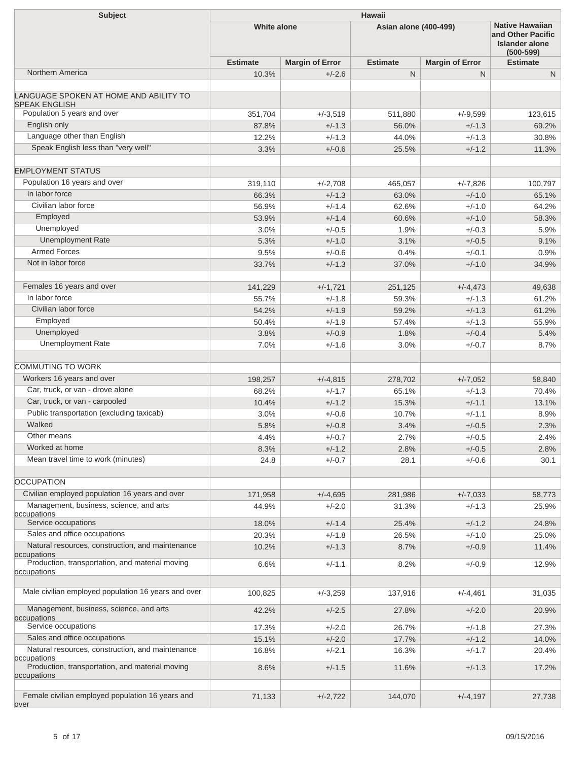| <b>Subject</b>                                                 | Hawaii             |                        |                              |                        |                                                                                       |  |  |
|----------------------------------------------------------------|--------------------|------------------------|------------------------------|------------------------|---------------------------------------------------------------------------------------|--|--|
|                                                                | <b>White alone</b> |                        | <b>Asian alone (400-499)</b> |                        | <b>Native Hawaiian</b><br>and Other Pacific<br><b>Islander alone</b><br>$(500 - 599)$ |  |  |
|                                                                | <b>Estimate</b>    | <b>Margin of Error</b> | <b>Estimate</b>              | <b>Margin of Error</b> | <b>Estimate</b>                                                                       |  |  |
| Northern America                                               | 10.3%              | $+/-2.6$               | $\mathsf{N}$                 | N.                     | N                                                                                     |  |  |
| LANGUAGE SPOKEN AT HOME AND ABILITY TO<br><b>SPEAK ENGLISH</b> |                    |                        |                              |                        |                                                                                       |  |  |
| Population 5 years and over                                    | 351,704            | $+/-3,519$             | 511,880                      | $+/-9,599$             | 123,615                                                                               |  |  |
| English only                                                   | 87.8%              | $+/-1.3$               | 56.0%                        | $+/-1.3$               | 69.2%                                                                                 |  |  |
| Language other than English                                    | 12.2%              | $+/-1.3$               | 44.0%                        | $+/-1.3$               | 30.8%                                                                                 |  |  |
| Speak English less than "very well"                            | 3.3%               | $+/-0.6$               | 25.5%                        | $+/-1.2$               | 11.3%                                                                                 |  |  |
| <b>EMPLOYMENT STATUS</b>                                       |                    |                        |                              |                        |                                                                                       |  |  |
| Population 16 years and over                                   | 319,110            | $+/-2,708$             | 465,057                      | $+/-7,826$             | 100,797                                                                               |  |  |
| In labor force                                                 | 66.3%              | $+/-1.3$               | 63.0%                        | $+/-1.0$               | 65.1%                                                                                 |  |  |
| Civilian labor force                                           | 56.9%              | $+/-1.4$               | 62.6%                        | $+/-1.0$               | 64.2%                                                                                 |  |  |
| Employed                                                       | 53.9%              | $+/-1.4$               | 60.6%                        | $+/-1.0$               | 58.3%                                                                                 |  |  |
| Unemployed                                                     | 3.0%               | $+/-0.5$               | 1.9%                         | $+/-0.3$               | 5.9%                                                                                  |  |  |
| <b>Unemployment Rate</b>                                       | 5.3%               | $+/-1.0$               | 3.1%                         | $+/-0.5$               | 9.1%                                                                                  |  |  |
| <b>Armed Forces</b>                                            | 9.5%               | $+/-0.6$               | 0.4%                         | $+/-0.1$               | 0.9%                                                                                  |  |  |
| Not in labor force                                             | 33.7%              | $+/-1.3$               | 37.0%                        | $+/-1.0$               | 34.9%                                                                                 |  |  |
|                                                                |                    |                        |                              |                        |                                                                                       |  |  |
| Females 16 years and over                                      | 141,229            | $+/-1,721$             | 251,125                      | $+/-4,473$             | 49,638                                                                                |  |  |
| In labor force                                                 | 55.7%              | $+/-1.8$               | 59.3%                        | $+/-1.3$               | 61.2%                                                                                 |  |  |
| Civilian labor force                                           | 54.2%              | $+/-1.9$               | 59.2%                        | $+/-1.3$               | 61.2%                                                                                 |  |  |
| Employed                                                       | 50.4%              | $+/-1.9$               | 57.4%                        | $+/-1.3$               | 55.9%                                                                                 |  |  |
| Unemployed                                                     | 3.8%               | $+/-0.9$               | 1.8%                         | $+/-0.4$               | 5.4%                                                                                  |  |  |
| <b>Unemployment Rate</b>                                       | 7.0%               | $+/-1.6$               | 3.0%                         | $+/-0.7$               | 8.7%                                                                                  |  |  |
|                                                                |                    |                        |                              |                        |                                                                                       |  |  |
| <b>COMMUTING TO WORK</b>                                       |                    |                        |                              |                        |                                                                                       |  |  |
| Workers 16 years and over                                      | 198,257            | $+/-4,815$             | 278,702                      | $+/-7,052$             | 58,840                                                                                |  |  |
| Car, truck, or van - drove alone                               | 68.2%              | $+/-1.7$               | 65.1%                        | $+/-1.3$               | 70.4%                                                                                 |  |  |
| Car, truck, or van - carpooled                                 | 10.4%              | $+/-1.2$               | 15.3%                        | $+/-1.1$               | 13.1%                                                                                 |  |  |
| Public transportation (excluding taxicab)                      | 3.0%               | $+/-0.6$               | 10.7%                        | $+/-1.1$               | 8.9%                                                                                  |  |  |
| Walked                                                         | 5.8%               | $+/-0.8$               | 3.4%                         | $+/-0.5$               | 2.3%                                                                                  |  |  |
| Other means                                                    | 4.4%               | $+/-0.7$               | 2.7%                         | $+/-0.5$               | 2.4%                                                                                  |  |  |
| Worked at home                                                 | 8.3%               | $+/-1.2$               | 2.8%                         | $+/-0.5$               | 2.8%                                                                                  |  |  |
| Mean travel time to work (minutes)                             | 24.8               | $+/-0.7$               | 28.1                         | $+/-0.6$               | 30.1                                                                                  |  |  |
| <b>OCCUPATION</b>                                              |                    |                        |                              |                        |                                                                                       |  |  |
| Civilian employed population 16 years and over                 | 171,958            | $+/-4,695$             | 281,986                      | $+/-7,033$             | 58,773                                                                                |  |  |
| Management, business, science, and arts                        | 44.9%              | $+/-2.0$               | 31.3%                        | $+/-1.3$               | 25.9%                                                                                 |  |  |
| occupations<br>Service occupations                             | 18.0%              | $+/-1.4$               | 25.4%                        | $+/-1.2$               | 24.8%                                                                                 |  |  |
| Sales and office occupations                                   | 20.3%              | $+/-1.8$               | 26.5%                        | $+/-1.0$               | 25.0%                                                                                 |  |  |
| Natural resources, construction, and maintenance               | 10.2%              | $+/-1.3$               | 8.7%                         | $+/-0.9$               | 11.4%                                                                                 |  |  |
| occupations<br>Production, transportation, and material moving | 6.6%               | $+/-1.1$               | 8.2%                         | $+/-0.9$               | 12.9%                                                                                 |  |  |
| occupations                                                    |                    |                        |                              |                        |                                                                                       |  |  |
| Male civilian employed population 16 years and over            | 100,825            | $+/-3,259$             | 137,916                      | $+/-4,461$             | 31,035                                                                                |  |  |
| Management, business, science, and arts                        | 42.2%              | $+/-2.5$               | 27.8%                        | $+/-2.0$               | 20.9%                                                                                 |  |  |
| occupations<br>Service occupations                             | 17.3%              | $+/-2.0$               | 26.7%                        | $+/-1.8$               | 27.3%                                                                                 |  |  |
| Sales and office occupations                                   | 15.1%              | $+/-2.0$               | 17.7%                        | $+/-1.2$               | 14.0%                                                                                 |  |  |
| Natural resources, construction, and maintenance               | 16.8%              | $+/-2.1$               | 16.3%                        | $+/-1.7$               | 20.4%                                                                                 |  |  |
| occupations<br>Production, transportation, and material moving | 8.6%               | $+/-1.5$               | 11.6%                        | $+/-1.3$               | 17.2%                                                                                 |  |  |
| occupations                                                    |                    |                        |                              |                        |                                                                                       |  |  |
| Female civilian employed population 16 years and<br>over       | 71,133             | $+/-2,722$             | 144,070                      | $+/-4,197$             | 27,738                                                                                |  |  |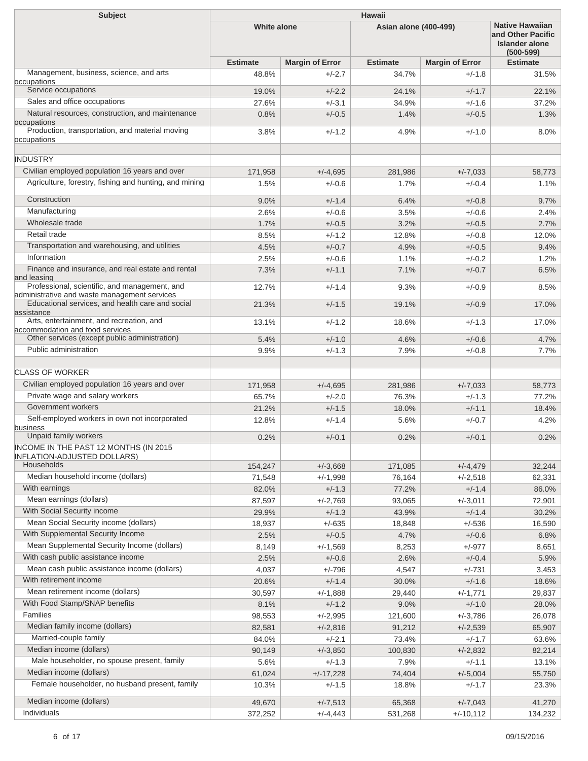| Subject                                                                                          | <b>Hawaii</b>      |                        |                       |                        |                                                                                       |  |  |
|--------------------------------------------------------------------------------------------------|--------------------|------------------------|-----------------------|------------------------|---------------------------------------------------------------------------------------|--|--|
|                                                                                                  | <b>White alone</b> |                        | Asian alone (400-499) |                        | <b>Native Hawaiian</b><br>and Other Pacific<br><b>Islander alone</b><br>$(500 - 599)$ |  |  |
|                                                                                                  | <b>Estimate</b>    | <b>Margin of Error</b> | <b>Estimate</b>       | <b>Margin of Error</b> | <b>Estimate</b>                                                                       |  |  |
| Management, business, science, and arts<br>occupations                                           | 48.8%              | $+/-2.7$               | 34.7%                 | $+/-1.8$               | 31.5%                                                                                 |  |  |
| Service occupations                                                                              | 19.0%              | $+/-2.2$               | 24.1%                 | $+/-1.7$               | 22.1%                                                                                 |  |  |
| Sales and office occupations                                                                     | 27.6%              | $+/-3.1$               | 34.9%                 | $+/-1.6$               | 37.2%                                                                                 |  |  |
| Natural resources, construction, and maintenance<br>occupations                                  | 0.8%               | $+/-0.5$               | 1.4%                  | $+/-0.5$               | 1.3%                                                                                  |  |  |
| Production, transportation, and material moving<br>occupations                                   | 3.8%               | $+/-1.2$               | 4.9%                  | $+/-1.0$               | 8.0%                                                                                  |  |  |
| <b>INDUSTRY</b>                                                                                  |                    |                        |                       |                        |                                                                                       |  |  |
| Civilian employed population 16 years and over                                                   | 171,958            | $+/-4,695$             | 281,986               | $+/-7,033$             | 58,773                                                                                |  |  |
| Agriculture, forestry, fishing and hunting, and mining                                           | 1.5%               | $+/-0.6$               | 1.7%                  | $+/-0.4$               | 1.1%                                                                                  |  |  |
| Construction                                                                                     | 9.0%               | $+/-1.4$               | 6.4%                  | $+/-0.8$               | 9.7%                                                                                  |  |  |
| Manufacturing                                                                                    | 2.6%               | $+/-0.6$               | 3.5%                  | $+/-0.6$               | 2.4%                                                                                  |  |  |
| Wholesale trade                                                                                  | 1.7%               | $+/-0.5$               | 3.2%                  | $+/-0.5$               | 2.7%                                                                                  |  |  |
| Retail trade                                                                                     | 8.5%               | $+/-1.2$               | 12.8%                 | $+/-0.8$               | 12.0%                                                                                 |  |  |
| Transportation and warehousing, and utilities                                                    | 4.5%               | $+/-0.7$               | 4.9%                  | $+/-0.5$               | 9.4%                                                                                  |  |  |
| Information                                                                                      | 2.5%               | $+/-0.6$               | 1.1%                  | $+/-0.2$               | 1.2%                                                                                  |  |  |
| Finance and insurance, and real estate and rental                                                | 7.3%               | $+/-1.1$               | 7.1%                  | $+/-0.7$               | 6.5%                                                                                  |  |  |
| and leasing<br>Professional, scientific, and management, and                                     | 12.7%              | $+/-1.4$               | 9.3%                  | $+/-0.9$               | 8.5%                                                                                  |  |  |
| administrative and waste management services<br>Educational services, and health care and social |                    |                        |                       |                        |                                                                                       |  |  |
| assistance                                                                                       | 21.3%              | $+/-1.5$               | 19.1%                 | $+/-0.9$               | 17.0%                                                                                 |  |  |
| Arts, entertainment, and recreation, and<br>accommodation and food services                      | 13.1%              | $+/-1.2$               | 18.6%                 | $+/-1.3$               | 17.0%                                                                                 |  |  |
| Other services (except public administration)                                                    | 5.4%               | $+/-1.0$               | 4.6%                  | $+/-0.6$               | 4.7%                                                                                  |  |  |
| Public administration                                                                            | 9.9%               | $+/-1.3$               | 7.9%                  | $+/-0.8$               | 7.7%                                                                                  |  |  |
| <b>CLASS OF WORKER</b>                                                                           |                    |                        |                       |                        |                                                                                       |  |  |
| Civilian employed population 16 years and over                                                   | 171,958            | $+/-4.695$             | 281,986               | $+/-7.033$             | 58,773                                                                                |  |  |
| Private wage and salary workers                                                                  | 65.7%              | $+/-2.0$               | 76.3%                 | $+/-1.3$               | 77.2%                                                                                 |  |  |
| Government workers                                                                               | 21.2%              | $+/-1.5$               | 18.0%                 | $+/-1.1$               | 18.4%                                                                                 |  |  |
| Self-employed workers in own not incorporated                                                    | 12.8%              | $+/-1.4$               | 5.6%                  | $+/-0.7$               | 4.2%                                                                                  |  |  |
| business                                                                                         |                    |                        |                       |                        |                                                                                       |  |  |
| Unpaid family workers                                                                            | 0.2%               | $+/-0.1$               | 0.2%                  | $+/-0.1$               | 0.2%                                                                                  |  |  |
| INCOME IN THE PAST 12 MONTHS (IN 2015<br><b>INFLATION-ADJUSTED DOLLARS)</b>                      |                    |                        |                       |                        |                                                                                       |  |  |
| Households                                                                                       | 154,247            | $+/-3,668$             | 171,085               | $+/-4,479$             | 32,244                                                                                |  |  |
| Median household income (dollars)                                                                | 71,548             | $+/-1,998$             | 76,164                | $+/-2,518$             | 62,331                                                                                |  |  |
| With earnings                                                                                    | 82.0%              | $+/-1.3$               | 77.2%                 | $+/-1.4$               | 86.0%                                                                                 |  |  |
| Mean earnings (dollars)                                                                          | 87,597             | $+/-2,769$             | 93,065                | $+/-3,011$             | 72,901                                                                                |  |  |
| With Social Security income                                                                      | 29.9%              | $+/-1.3$               | 43.9%                 | $+/-1.4$               | 30.2%                                                                                 |  |  |
| Mean Social Security income (dollars)                                                            | 18,937             | $+/-635$               | 18,848                | $+/-536$               | 16,590                                                                                |  |  |
| With Supplemental Security Income                                                                | 2.5%               | $+/-0.5$               | 4.7%                  | $+/-0.6$               | 6.8%                                                                                  |  |  |
| Mean Supplemental Security Income (dollars)                                                      | 8,149              | $+/-1,569$             | 8,253                 | $+/-977$               | 8,651                                                                                 |  |  |
| With cash public assistance income                                                               | 2.5%               | $+/-0.6$               | 2.6%                  | $+/-0.4$               | 5.9%                                                                                  |  |  |
| Mean cash public assistance income (dollars)                                                     | 4,037              | $+/-796$               | 4,547                 | $+/-731$               | 3,453                                                                                 |  |  |
| With retirement income                                                                           | 20.6%              | $+/-1.4$               | 30.0%                 | $+/-1.6$               | 18.6%                                                                                 |  |  |
| Mean retirement income (dollars)                                                                 | 30,597             | $+/-1,888$             | 29,440                | $+/-1,771$             | 29,837                                                                                |  |  |
| With Food Stamp/SNAP benefits                                                                    | 8.1%               | $+/-1.2$               | 9.0%                  | $+/-1.0$               | 28.0%                                                                                 |  |  |
| Families                                                                                         | 98,553             | $+/-2,995$             | 121,600               | $+/-3,786$             | 26,078                                                                                |  |  |
| Median family income (dollars)                                                                   | 82,581             | $+/-2,816$             | 91,212                | $+/-2,539$             | 65,907                                                                                |  |  |
| Married-couple family                                                                            | 84.0%              | $+/-2.1$               | 73.4%                 | $+/-1.7$               | 63.6%                                                                                 |  |  |
| Median income (dollars)                                                                          | 90,149             | $+/-3,850$             | 100,830               | $+/-2,832$             | 82,214                                                                                |  |  |
| Male householder, no spouse present, family                                                      | 5.6%               | $+/-1.3$               | 7.9%                  | $+/-1.1$               | 13.1%                                                                                 |  |  |
| Median income (dollars)                                                                          | 61,024             | $+/-17,228$            | 74,404                | $+/-5,004$             | 55,750                                                                                |  |  |
| Female householder, no husband present, family                                                   | 10.3%              | +/-1.5                 | 18.8%                 | $+/-1.7$               | 23.3%                                                                                 |  |  |
| Median income (dollars)                                                                          | 49,670             | $+/-7,513$             | 65,368                | $+/-7,043$             | 41,270                                                                                |  |  |
| Individuals                                                                                      | 372,252            | $+/-4,443$             | 531,268               | $+/-10,112$            | 134,232                                                                               |  |  |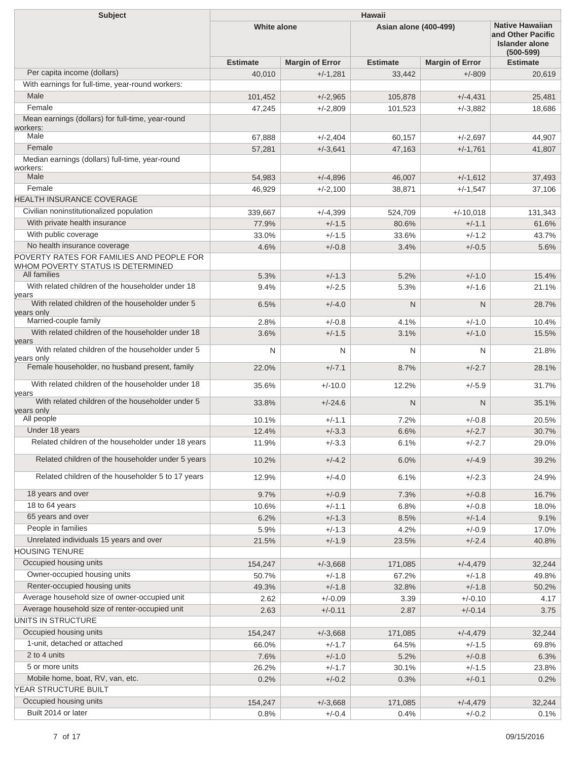| <b>Subject</b>                                                                                 | Hawaii             |                        |                       |                        |                                                                                |  |  |
|------------------------------------------------------------------------------------------------|--------------------|------------------------|-----------------------|------------------------|--------------------------------------------------------------------------------|--|--|
|                                                                                                | <b>White alone</b> |                        | Asian alone (400-499) |                        | <b>Native Hawaiian</b><br>and Other Pacific<br>Islander alone<br>$(500 - 599)$ |  |  |
|                                                                                                | <b>Estimate</b>    | <b>Margin of Error</b> | <b>Estimate</b>       | <b>Margin of Error</b> | <b>Estimate</b>                                                                |  |  |
| Per capita income (dollars)                                                                    | 40,010             | $+/-1,281$             | 33,442                | $+/-809$               | 20,619                                                                         |  |  |
| With earnings for full-time, year-round workers:                                               |                    |                        |                       |                        |                                                                                |  |  |
| Male                                                                                           | 101,452            | $+/-2,965$             | 105,878               | $+/-4,431$             | 25,481                                                                         |  |  |
| Female                                                                                         | 47,245             | $+/-2.809$             | 101,523               | $+/-3,882$             | 18.686                                                                         |  |  |
| Mean earnings (dollars) for full-time, year-round                                              |                    |                        |                       |                        |                                                                                |  |  |
| workers:<br>Male                                                                               | 67,888             | $+/-2.404$             | 60,157                | $+/-2,697$             | 44,907                                                                         |  |  |
| Female                                                                                         | 57,281             | $+/-3.641$             | 47,163                | $+/-1,761$             | 41,807                                                                         |  |  |
| Median earnings (dollars) full-time, year-round                                                |                    |                        |                       |                        |                                                                                |  |  |
| workers:                                                                                       |                    |                        |                       |                        |                                                                                |  |  |
| Male                                                                                           | 54,983             | $+/-4,896$             | 46,007                | $+/-1,612$             | 37,493                                                                         |  |  |
| Female                                                                                         | 46,929             | $+/-2,100$             | 38,871                | $+/-1,547$             | 37,106                                                                         |  |  |
| <b>HEALTH INSURANCE COVERAGE</b>                                                               |                    |                        |                       |                        |                                                                                |  |  |
| Civilian noninstitutionalized population                                                       | 339,667            | $+/-4,399$             | 524,709               | $+/-10,018$            | 131,343                                                                        |  |  |
| With private health insurance                                                                  | 77.9%              | $+/-1.5$               | 80.6%                 | $+/-1.1$               | 61.6%                                                                          |  |  |
| With public coverage                                                                           | 33.0%              | $+/-1.5$               | 33.6%                 | $+/-1.2$               | 43.7%                                                                          |  |  |
| No health insurance coverage                                                                   | 4.6%               | $+/-0.8$               | 3.4%                  | $+/-0.5$               | 5.6%                                                                           |  |  |
| POVERTY RATES FOR FAMILIES AND PEOPLE FOR<br>WHOM POVERTY STATUS IS DETERMINED<br>All families |                    |                        |                       |                        |                                                                                |  |  |
| With related children of the householder under 18                                              | 5.3%<br>9.4%       | $+/-1.3$<br>$+/-2.5$   | 5.2%                  | $+/-1.0$<br>$+/-1.6$   | 15.4%                                                                          |  |  |
| vears                                                                                          |                    |                        | 5.3%                  |                        | 21.1%                                                                          |  |  |
| With related children of the householder under 5<br>years only                                 | 6.5%               | $+/-4.0$               | $\mathsf{N}$          | N                      | 28.7%                                                                          |  |  |
| Married-couple family                                                                          | 2.8%               | $+/-0.8$               | 4.1%                  | $+/-1.0$               | 10.4%                                                                          |  |  |
| With related children of the householder under 18<br>years                                     | 3.6%               | $+/-1.5$               | 3.1%                  | $+/-1.0$               | 15.5%                                                                          |  |  |
| With related children of the householder under 5<br>years only                                 | N                  | N                      | N                     | N                      | 21.8%                                                                          |  |  |
| Female householder, no husband present, family                                                 | 22.0%              | $+/-7.1$               | 8.7%                  | $+/-2.7$               | 28.1%                                                                          |  |  |
| With related children of the householder under 18<br>vears                                     | 35.6%              | $+/-10.0$              | 12.2%                 | $+/-5.9$               | 31.7%                                                                          |  |  |
| With related children of the householder under 5                                               | 33.8%              | $+/-24.6$              | N                     | N                      | 35.1%                                                                          |  |  |
| years only<br>All people                                                                       |                    |                        |                       |                        |                                                                                |  |  |
| Under 18 years                                                                                 | 10.1%              | $+/-1.1$               | 7.2%                  | $+/-0.8$<br>$+/-2.7$   | 20.5%                                                                          |  |  |
| Related children of the householder under 18 years                                             | 12.4%<br>11.9%     | $+/-3.3$<br>$+/-3.3$   | 6.6%<br>6.1%          | $+/-2.7$               | 30.7%<br>29.0%                                                                 |  |  |
| Related children of the householder under 5 years                                              | 10.2%              | $+/-4.2$               | 6.0%                  | $+/-4.9$               | 39.2%                                                                          |  |  |
|                                                                                                |                    |                        |                       |                        |                                                                                |  |  |
| Related children of the householder 5 to 17 years                                              | 12.9%              | $+/-4.0$               | 6.1%                  | $+/-2.3$               | 24.9%                                                                          |  |  |
| 18 years and over                                                                              | 9.7%               | $+/-0.9$               | 7.3%                  | $+/-0.8$               | 16.7%                                                                          |  |  |
| 18 to 64 years                                                                                 | 10.6%              | $+/-1.1$               | 6.8%                  | $+/-0.8$               | 18.0%                                                                          |  |  |
| 65 years and over                                                                              | 6.2%               | $+/-1.3$               | 8.5%                  | $+/-1.4$               | 9.1%                                                                           |  |  |
| People in families                                                                             | 5.9%               | $+/-1.3$               | 4.2%                  | $+/-0.9$               | 17.0%                                                                          |  |  |
| Unrelated individuals 15 years and over<br><b>HOUSING TENURE</b>                               | 21.5%              | $+/-1.9$               | 23.5%                 | $+/-2.4$               | 40.8%                                                                          |  |  |
| Occupied housing units                                                                         | 154,247            | $+/-3,668$             | 171,085               | $+/-4,479$             | 32,244                                                                         |  |  |
| Owner-occupied housing units                                                                   | 50.7%              | $+/-1.8$               | 67.2%                 | $+/-1.8$               | 49.8%                                                                          |  |  |
| Renter-occupied housing units                                                                  | 49.3%              | $+/-1.8$               | 32.8%                 | $+/-1.8$               | 50.2%                                                                          |  |  |
| Average household size of owner-occupied unit                                                  | 2.62               | $+/-0.09$              | 3.39                  | $+/-0.10$              | 4.17                                                                           |  |  |
| Average household size of renter-occupied unit                                                 | 2.63               | $+/-0.11$              | 2.87                  | $+/-0.14$              | 3.75                                                                           |  |  |
| UNITS IN STRUCTURE                                                                             |                    |                        |                       |                        |                                                                                |  |  |
| Occupied housing units                                                                         | 154,247            | $+/-3,668$             | 171,085               | $+/-4,479$             | 32,244                                                                         |  |  |
| 1-unit, detached or attached                                                                   | 66.0%              | $+/-1.7$               | 64.5%                 | $+/-1.5$               | 69.8%                                                                          |  |  |
| 2 to 4 units                                                                                   | 7.6%               | $+/-1.0$               | 5.2%                  | $+/-0.8$               | 6.3%                                                                           |  |  |
| 5 or more units                                                                                | 26.2%              | $+/-1.7$               | 30.1%                 | $+/-1.5$               | 23.8%                                                                          |  |  |
| Mobile home, boat, RV, van, etc.                                                               | 0.2%               | $+/-0.2$               | 0.3%                  | $+/-0.1$               | 0.2%                                                                           |  |  |
| YEAR STRUCTURE BUILT                                                                           |                    |                        |                       |                        |                                                                                |  |  |
| Occupied housing units                                                                         | 154,247            | $+/-3,668$             | 171,085               | $+/-4,479$             | 32,244                                                                         |  |  |
| Built 2014 or later                                                                            | 0.8%               | $+/-0.4$               | 0.4%                  | $+/-0.2$               | 0.1%                                                                           |  |  |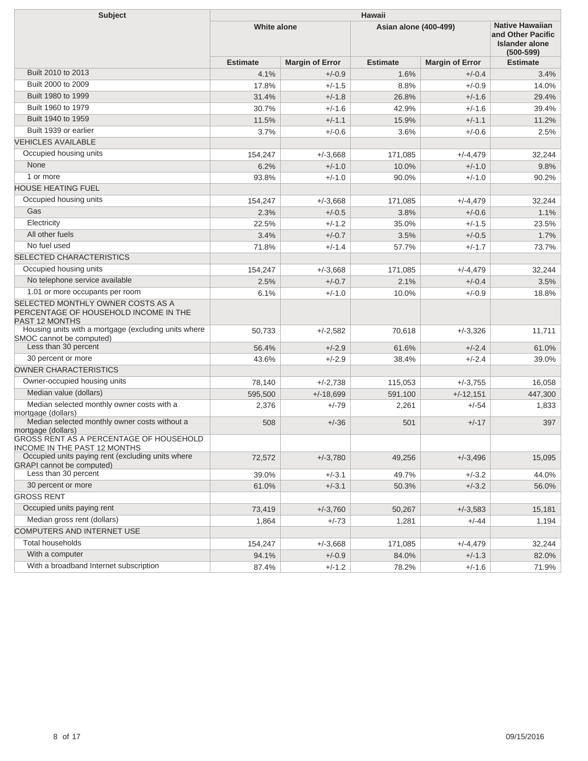| <b>Subject</b>                                                                                      | <b>Hawaii</b>      |                        |                              |                                                                                       |                 |  |  |
|-----------------------------------------------------------------------------------------------------|--------------------|------------------------|------------------------------|---------------------------------------------------------------------------------------|-----------------|--|--|
|                                                                                                     | <b>White alone</b> |                        | <b>Asian alone (400-499)</b> | <b>Native Hawaiian</b><br>and Other Pacific<br><b>Islander alone</b><br>$(500 - 599)$ |                 |  |  |
|                                                                                                     | <b>Estimate</b>    | <b>Margin of Error</b> | <b>Estimate</b>              | <b>Margin of Error</b>                                                                | <b>Estimate</b> |  |  |
| Built 2010 to 2013                                                                                  | 4.1%               | $+/-0.9$               | 1.6%                         | $+/-0.4$                                                                              | 3.4%            |  |  |
| Built 2000 to 2009                                                                                  | 17.8%              | $+/-1.5$               | 8.8%                         | $+/-0.9$                                                                              | 14.0%           |  |  |
| Built 1980 to 1999                                                                                  | 31.4%              | $+/-1.8$               | 26.8%                        | $+/-1.6$                                                                              | 29.4%           |  |  |
| Built 1960 to 1979                                                                                  | 30.7%              | $+/-1.6$               | 42.9%                        | $+/-1.6$                                                                              | 39.4%           |  |  |
| Built 1940 to 1959                                                                                  | 11.5%              | $+/-1.1$               | 15.9%                        | $+/-1.1$                                                                              | 11.2%           |  |  |
| Built 1939 or earlier                                                                               | 3.7%               | $+/-0.6$               | 3.6%                         | $+/-0.6$                                                                              | 2.5%            |  |  |
| <b>VEHICLES AVAILABLE</b>                                                                           |                    |                        |                              |                                                                                       |                 |  |  |
| Occupied housing units                                                                              | 154,247            | $+/-3,668$             | 171,085                      | $+/-4,479$                                                                            | 32,244          |  |  |
| None                                                                                                | 6.2%               | $+/-1.0$               | 10.0%                        | $+/-1.0$                                                                              | 9.8%            |  |  |
| 1 or more                                                                                           | 93.8%              | $+/-1.0$               | 90.0%                        | $+/-1.0$                                                                              | 90.2%           |  |  |
| <b>HOUSE HEATING FUEL</b>                                                                           |                    |                        |                              |                                                                                       |                 |  |  |
| Occupied housing units                                                                              | 154,247            | $+/-3,668$             | 171,085                      | $+/-4,479$                                                                            | 32,244          |  |  |
| Gas                                                                                                 | 2.3%               | $+/-0.5$               | 3.8%                         | $+/-0.6$                                                                              | 1.1%            |  |  |
| Electricity                                                                                         | 22.5%              | $+/-1.2$               | 35.0%                        | $+/-1.5$                                                                              | 23.5%           |  |  |
| All other fuels                                                                                     | 3.4%               | $+/-0.7$               | 3.5%                         | $+/-0.5$                                                                              | 1.7%            |  |  |
| No fuel used                                                                                        | 71.8%              | $+/-1.4$               | 57.7%                        | $+/-1.7$                                                                              | 73.7%           |  |  |
| SELECTED CHARACTERISTICS                                                                            |                    |                        |                              |                                                                                       |                 |  |  |
| Occupied housing units                                                                              | 154,247            | $+/-3,668$             | 171,085                      | $+/-4.479$                                                                            | 32,244          |  |  |
| No telephone service available                                                                      | 2.5%               | $+/-0.7$               | 2.1%                         | $+/-0.4$                                                                              | 3.5%            |  |  |
| 1.01 or more occupants per room                                                                     | 6.1%               | $+/-1.0$               | 10.0%                        | $+/-0.9$                                                                              | 18.8%           |  |  |
| SELECTED MONTHLY OWNER COSTS AS A<br>PERCENTAGE OF HOUSEHOLD INCOME IN THE<br><b>PAST 12 MONTHS</b> |                    |                        |                              |                                                                                       |                 |  |  |
| Housing units with a mortgage (excluding units where<br>SMOC cannot be computed)                    | 50,733             | $+/-2,582$             | 70,618                       | $+/-3,326$                                                                            | 11,711          |  |  |
| Less than 30 percent                                                                                | 56.4%              | $+/-2.9$               | 61.6%                        | $+/-2.4$                                                                              | 61.0%           |  |  |
| 30 percent or more                                                                                  | 43.6%              | $+/-2.9$               | 38.4%                        | $+/-2.4$                                                                              | 39.0%           |  |  |
| <b>OWNER CHARACTERISTICS</b>                                                                        |                    |                        |                              |                                                                                       |                 |  |  |
| Owner-occupied housing units                                                                        | 78,140             | $+/-2,738$             | 115,053                      | $+/-3.755$                                                                            | 16,058          |  |  |
| Median value (dollars)                                                                              | 595,500            | $+/-18.699$            | 591,100                      | $+/-12,151$                                                                           | 447,300         |  |  |
| Median selected monthly owner costs with a<br>mortgage (dollars)                                    | 2,376              | $+/-79$                | 2,261                        | $+/-54$                                                                               | 1,833           |  |  |
| Median selected monthly owner costs without a<br>mortgage (dollars)                                 | 508                | $+/-36$                | 501                          | $+/-17$                                                                               | 397             |  |  |
| GROSS RENT AS A PERCENTAGE OF HOUSEHOLD<br><b>INCOME IN THE PAST 12 MONTHS</b>                      |                    |                        |                              |                                                                                       |                 |  |  |
| Occupied units paying rent (excluding units where<br><b>GRAPI</b> cannot be computed)               | 72,572             | $+/-3,780$             | 49,256                       | $+/-3,496$                                                                            | 15,095          |  |  |
| Less than 30 percent                                                                                | 39.0%              | $+/-3.1$               | 49.7%                        | $+/-3.2$                                                                              | 44.0%           |  |  |
| 30 percent or more                                                                                  | 61.0%              | $+/-3.1$               | 50.3%                        | $+/-3.2$                                                                              | 56.0%           |  |  |
| <b>GROSS RENT</b>                                                                                   |                    |                        |                              |                                                                                       |                 |  |  |
| Occupied units paying rent                                                                          | 73,419             | $+/-3,760$             | 50,267                       | $+/-3,583$                                                                            | 15,181          |  |  |
| Median gross rent (dollars)                                                                         | 1,864              | $+/-73$                | 1,281                        | $+/-44$                                                                               | 1,194           |  |  |
| COMPUTERS AND INTERNET USE                                                                          |                    |                        |                              |                                                                                       |                 |  |  |
| <b>Total households</b>                                                                             | 154,247            | $+/-3,668$             | 171,085                      | $+/-4,479$                                                                            | 32,244          |  |  |
| With a computer                                                                                     | 94.1%              | $+/-0.9$               | 84.0%                        | $+/-1.3$                                                                              | 82.0%           |  |  |
| With a broadband Internet subscription                                                              | 87.4%              | $+/-1.2$               | 78.2%                        | $+/-1.6$                                                                              | 71.9%           |  |  |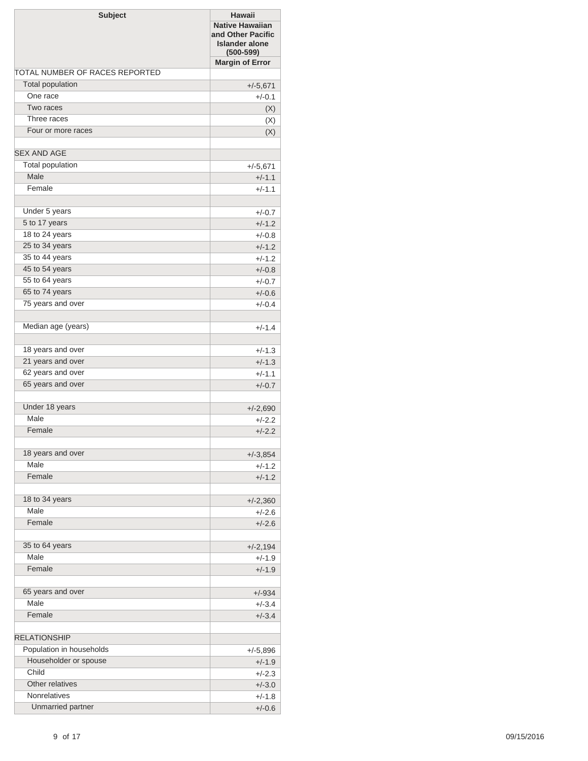| <b>Subject</b>                 | <b>Hawaii</b><br><b>Native Hawaiian</b><br>and Other Pacific<br><b>Islander alone</b><br>$(500 - 599)$ |
|--------------------------------|--------------------------------------------------------------------------------------------------------|
|                                | <b>Margin of Error</b>                                                                                 |
| TOTAL NUMBER OF RACES REPORTED |                                                                                                        |
| <b>Total population</b>        | $+/-5,671$                                                                                             |
| One race                       | $+/-0.1$                                                                                               |
| Two races                      | (X)                                                                                                    |
| Three races                    | (X)                                                                                                    |
| Four or more races             | (X)                                                                                                    |
| <b>SEX AND AGE</b>             |                                                                                                        |
| Total population               | $+/-5,671$                                                                                             |
| Male                           | $+/-1.1$                                                                                               |
| Female                         | $+/-1.1$                                                                                               |
|                                |                                                                                                        |
| Under 5 years                  | $+/-0.7$                                                                                               |
| 5 to 17 years                  | $+/-1.2$                                                                                               |
| 18 to 24 years                 | $+/-0.8$                                                                                               |
| 25 to 34 years                 | $+/-1.2$                                                                                               |
| 35 to 44 years                 | $+/-1.2$                                                                                               |
| 45 to 54 years                 | $+/-0.8$                                                                                               |
| 55 to 64 years                 | $+/-0.7$                                                                                               |
| 65 to 74 years                 | $+/-0.6$                                                                                               |
| 75 years and over              | $+/-0.4$                                                                                               |
| Median age (years)             | $+/-1.4$                                                                                               |
| 18 years and over              | $+/-1.3$                                                                                               |
| 21 years and over              | $+/-1.3$                                                                                               |
| 62 years and over              | $+/-1.1$                                                                                               |
| 65 years and over              | $+/-0.7$                                                                                               |
|                                |                                                                                                        |
| Under 18 years                 | $+/-2,690$                                                                                             |
| Male                           | $+/-2.2$                                                                                               |
| Female                         | $+/-2.2$                                                                                               |
| 18 years and over              | $+/-3,854$                                                                                             |
| Male                           | $+/-1.2$                                                                                               |
| Female                         | $+/-1.2$                                                                                               |
|                                |                                                                                                        |
| 18 to 34 years                 | $+/-2,360$                                                                                             |
| Male                           | $+/-2.6$                                                                                               |
| Female                         | $+/-2.6$                                                                                               |
| 35 to 64 years                 | $+/-2,194$                                                                                             |
| Male                           | $+/-1.9$                                                                                               |
| Female                         | $+/-1.9$                                                                                               |
|                                |                                                                                                        |
| 65 years and over              | $+/-934$                                                                                               |
| Male                           | $+/-3.4$                                                                                               |
| Female                         | $+/-3.4$                                                                                               |
| <b>RELATIONSHIP</b>            |                                                                                                        |
| Population in households       | $+/-5,896$                                                                                             |
| Householder or spouse          | $+/-1.9$                                                                                               |
| Child                          | $+/-2.3$                                                                                               |
| Other relatives                | $+/-3.0$                                                                                               |
| <b>Nonrelatives</b>            | $+/-1.8$                                                                                               |
| Unmarried partner              | $+/-0.6$                                                                                               |
|                                |                                                                                                        |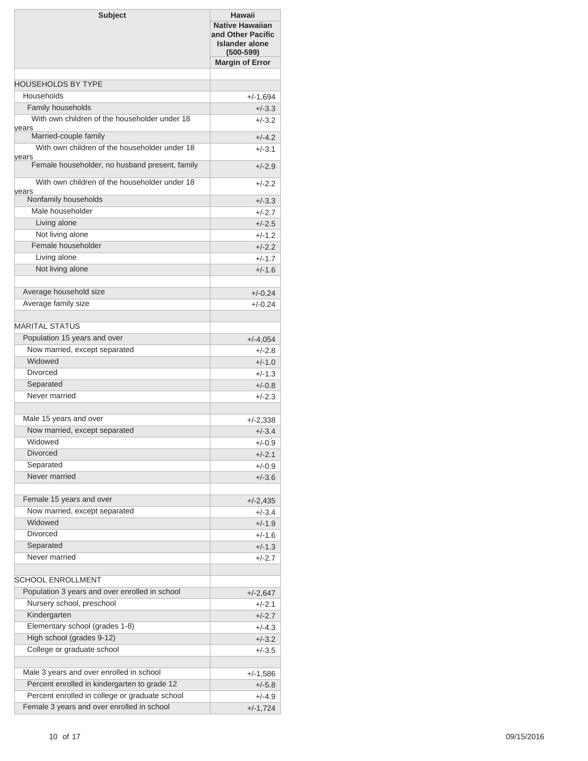| <b>Subject</b>                                                                                 | Hawaii<br><b>Native Hawaiian</b><br>and Other Pacific<br><b>Islander alone</b><br>$(500 - 599)$ |
|------------------------------------------------------------------------------------------------|-------------------------------------------------------------------------------------------------|
|                                                                                                | <b>Margin of Error</b>                                                                          |
|                                                                                                |                                                                                                 |
| <b>HOUSEHOLDS BY TYPE</b>                                                                      |                                                                                                 |
| Households                                                                                     | $+/-1,694$                                                                                      |
| Family households<br>With own children of the householder under 18                             | $+/-3.3$                                                                                        |
| years                                                                                          | $+/-3.2$                                                                                        |
| Married-couple family                                                                          | $+/-4.2$                                                                                        |
| With own children of the householder under 18                                                  | $+/-3.1$                                                                                        |
| years<br>Female householder, no husband present, family                                        | $+/-2.9$                                                                                        |
| With own children of the householder under 18                                                  | $+/-2.2$                                                                                        |
| years<br>Nonfamily households                                                                  | $+/-3.3$                                                                                        |
| Male householder                                                                               | $+/-2.7$                                                                                        |
| Living alone                                                                                   | $+/-2.5$                                                                                        |
| Not living alone                                                                               | $+/-1.2$                                                                                        |
| Female householder                                                                             | $+/-2.2$                                                                                        |
| Living alone                                                                                   | $+/-1.7$                                                                                        |
| Not living alone                                                                               | $+/-1.6$                                                                                        |
|                                                                                                |                                                                                                 |
| Average household size                                                                         | $+/-0.24$                                                                                       |
| Average family size                                                                            | $+/-0.24$                                                                                       |
| <b>MARITAL STATUS</b>                                                                          |                                                                                                 |
| Population 15 years and over                                                                   | $+/-4,054$                                                                                      |
| Now married, except separated                                                                  | $+/-2.8$                                                                                        |
| Widowed                                                                                        | $+/-1.0$                                                                                        |
| <b>Divorced</b>                                                                                | $+/-1.3$                                                                                        |
| Separated                                                                                      | $+/-0.8$                                                                                        |
| Never married                                                                                  | $+/-2.3$                                                                                        |
|                                                                                                |                                                                                                 |
| Male 15 years and over                                                                         | $+/-2,338$                                                                                      |
| Now married, except separated                                                                  | $+/-3.4$                                                                                        |
| Widowed                                                                                        | $+/-0.9$                                                                                        |
| <b>Divorced</b>                                                                                | $+/-2.1$                                                                                        |
| Separated                                                                                      | $+/-0.9$                                                                                        |
| Never married                                                                                  | $+/-3.6$                                                                                        |
|                                                                                                |                                                                                                 |
| Female 15 years and over<br>Now married, except separated                                      | $+/-2,435$                                                                                      |
| Widowed                                                                                        | $+/-3.4$                                                                                        |
| <b>Divorced</b>                                                                                | $+/-1.9$<br>$+/-1.6$                                                                            |
| Separated                                                                                      | $+/-1.3$                                                                                        |
| Never married                                                                                  | $+/-2.7$                                                                                        |
|                                                                                                |                                                                                                 |
| SCHOOL ENROLLMENT                                                                              |                                                                                                 |
| Population 3 years and over enrolled in school                                                 | $+/-2,647$                                                                                      |
| Nursery school, preschool                                                                      | $+/-2.1$                                                                                        |
| Kindergarten                                                                                   | $+/-2.7$                                                                                        |
| Elementary school (grades 1-8)                                                                 | $+/-4.3$                                                                                        |
| High school (grades 9-12)                                                                      | $+/-3.2$                                                                                        |
| College or graduate school                                                                     | $+/-3.5$                                                                                        |
|                                                                                                |                                                                                                 |
| Male 3 years and over enrolled in school                                                       | $+/-1,586$                                                                                      |
| Percent enrolled in kindergarten to grade 12<br>Percent enrolled in college or graduate school | $+/-5.8$                                                                                        |
| Female 3 years and over enrolled in school                                                     | $+/-4.9$                                                                                        |
|                                                                                                | $+/-1,724$                                                                                      |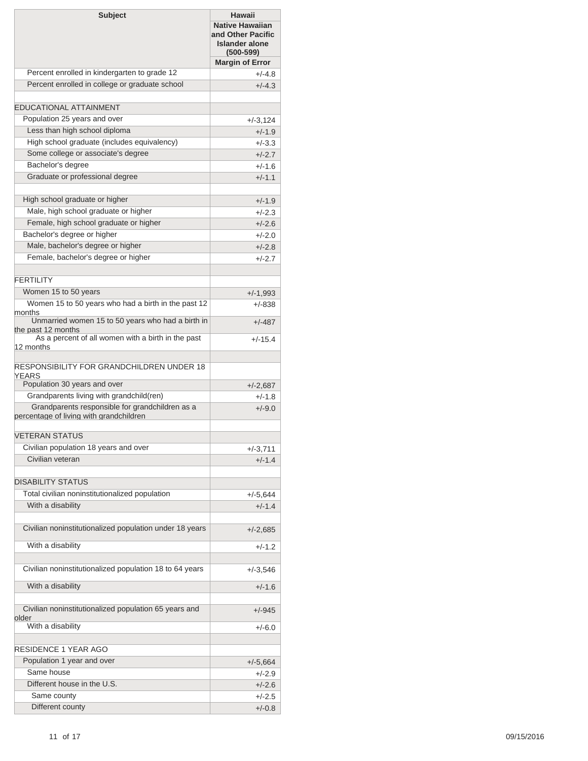| <b>Subject</b>                                                                             | <b>Hawaii</b><br><b>Native Hawaiian</b><br>and Other Pacific<br><b>Islander alone</b><br>$(500 - 599)$ |
|--------------------------------------------------------------------------------------------|--------------------------------------------------------------------------------------------------------|
|                                                                                            | <b>Margin of Error</b>                                                                                 |
| Percent enrolled in kindergarten to grade 12                                               | $+/-4.8$                                                                                               |
| Percent enrolled in college or graduate school                                             | $+/-4.3$                                                                                               |
|                                                                                            |                                                                                                        |
| <b>EDUCATIONAL ATTAINMENT</b>                                                              |                                                                                                        |
| Population 25 years and over                                                               | $+/-3,124$                                                                                             |
| Less than high school diploma                                                              | $+/-1.9$                                                                                               |
| High school graduate (includes equivalency)                                                | $+/-3.3$                                                                                               |
| Some college or associate's degree                                                         | $+/-2.7$                                                                                               |
| Bachelor's degree                                                                          | $+/-1.6$                                                                                               |
| Graduate or professional degree                                                            | $+/-1.1$                                                                                               |
|                                                                                            |                                                                                                        |
| High school graduate or higher                                                             | $+/-1.9$                                                                                               |
| Male, high school graduate or higher                                                       | $+/-2.3$                                                                                               |
| Female, high school graduate or higher                                                     | $+/-2.6$                                                                                               |
| Bachelor's degree or higher                                                                | $+/-2.0$                                                                                               |
| Male, bachelor's degree or higher                                                          | $+/-2.8$                                                                                               |
| Female, bachelor's degree or higher                                                        | $+/-2.7$                                                                                               |
|                                                                                            |                                                                                                        |
| <b>FFRTILITY</b>                                                                           |                                                                                                        |
| Women 15 to 50 years                                                                       | $+/-1,993$                                                                                             |
| Women 15 to 50 years who had a birth in the past 12                                        | $+/-838$                                                                                               |
| months<br>Unmarried women 15 to 50 years who had a birth in                                | $+/-487$                                                                                               |
| the past 12 months<br>As a percent of all women with a birth in the past<br>12 months      | $+/-15.4$                                                                                              |
| RESPONSIBILITY FOR GRANDCHILDREN UNDER 18<br>YEARS<br>Population 30 years and over         | $+/-2,687$                                                                                             |
| Grandparents living with grandchild(ren)                                                   | $+/-1.8$                                                                                               |
| Grandparents responsible for grandchildren as a<br>percentage of living with grandchildren | $+/-9.0$                                                                                               |
| <b>VETERAN STATUS</b>                                                                      |                                                                                                        |
| Civilian population 18 years and over                                                      | $+/-3,711$                                                                                             |
| Civilian veteran                                                                           | $+/-1.4$                                                                                               |
|                                                                                            |                                                                                                        |
| <b>DISABILITY STATUS</b>                                                                   |                                                                                                        |
| Total civilian noninstitutionalized population                                             | $+/-5,644$                                                                                             |
| With a disability                                                                          | $+/-1.4$                                                                                               |
|                                                                                            |                                                                                                        |
| Civilian noninstitutionalized population under 18 years                                    | $+/-2,685$                                                                                             |
| With a disability                                                                          | +/-1.2                                                                                                 |
| Civilian noninstitutionalized population 18 to 64 years                                    | $+/-3,546$                                                                                             |
| With a disability                                                                          | $+/-1.6$                                                                                               |
| Civilian noninstitutionalized population 65 years and<br>older                             | $+/-945$                                                                                               |
| With a disability                                                                          | $+/-6.0$                                                                                               |
| RESIDENCE 1 YEAR AGO                                                                       |                                                                                                        |
| Population 1 year and over                                                                 | $+/-5,664$                                                                                             |
| Same house                                                                                 | +/-2.9                                                                                                 |
| Different house in the U.S.                                                                | $+/-2.6$                                                                                               |
| Same county                                                                                | $+/-2.5$                                                                                               |
| Different county                                                                           | $+/-0.8$                                                                                               |
|                                                                                            |                                                                                                        |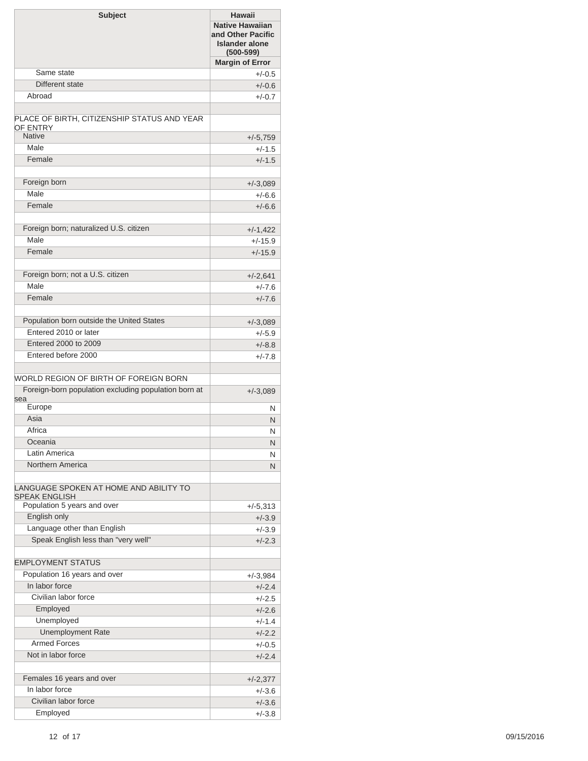| <b>Subject</b>                                                 | Hawaii<br><b>Native Hawaiian</b><br>and Other Pacific<br><b>Islander alone</b><br>$(500 - 599)$ |
|----------------------------------------------------------------|-------------------------------------------------------------------------------------------------|
|                                                                | <b>Margin of Error</b>                                                                          |
| Same state                                                     | $+/-0.5$                                                                                        |
| Different state                                                | $+/-0.6$                                                                                        |
| Abroad                                                         | $+/-0.7$                                                                                        |
| PLACE OF BIRTH, CITIZENSHIP STATUS AND YEAR<br>OF ENTRY        |                                                                                                 |
| <b>Native</b>                                                  | $+/-5,759$                                                                                      |
| Male                                                           | $+/-1.5$                                                                                        |
| Female                                                         | $+/-1.5$                                                                                        |
| Foreign born                                                   | $+/-3,089$                                                                                      |
| Male                                                           | $+/-6.6$                                                                                        |
| Female                                                         | $+/-6.6$                                                                                        |
|                                                                |                                                                                                 |
| Foreign born; naturalized U.S. citizen                         | $+/-1,422$                                                                                      |
| Male                                                           | $+/-15.9$                                                                                       |
| Female                                                         | $+/-15.9$                                                                                       |
| Foreign born; not a U.S. citizen                               | $+/-2.641$                                                                                      |
| Male                                                           | $+/-7.6$                                                                                        |
| Female                                                         | $+/-7.6$                                                                                        |
| Population born outside the United States                      |                                                                                                 |
| Entered 2010 or later                                          | $+/-3,089$                                                                                      |
| Entered 2000 to 2009                                           | $+/-5.9$                                                                                        |
| Entered before 2000                                            | $+/-8.8$                                                                                        |
|                                                                | $+/-7.8$                                                                                        |
| WORLD REGION OF BIRTH OF FOREIGN BORN                          |                                                                                                 |
| Foreign-born population excluding population born at<br>sea    | $+/-3,089$                                                                                      |
| Europe                                                         | N                                                                                               |
| Asia                                                           | N                                                                                               |
| Africa                                                         | N                                                                                               |
| Oceania                                                        | N                                                                                               |
| Latin America                                                  | N                                                                                               |
| Northern America                                               | N                                                                                               |
| LANGUAGE SPOKEN AT HOME AND ABILITY TO<br><b>SPEAK ENGLISH</b> |                                                                                                 |
| Population 5 years and over                                    | $+/-5,313$                                                                                      |
| English only                                                   | $+/-3.9$                                                                                        |
| Language other than English                                    | $+/-3.9$                                                                                        |
| Speak English less than "very well"                            | $+/-2.3$                                                                                        |
| <b>EMPLOYMENT STATUS</b>                                       |                                                                                                 |
| Population 16 years and over                                   | $+/-3,984$                                                                                      |
| In labor force                                                 | $+/-2.4$                                                                                        |
| Civilian labor force                                           | $+/-2.5$                                                                                        |
| Employed                                                       | $+/-2.6$                                                                                        |
| Unemployed                                                     | $+/-1.4$                                                                                        |
| <b>Unemployment Rate</b>                                       | $+/-2.2$                                                                                        |
| <b>Armed Forces</b>                                            | $+/-0.5$                                                                                        |
| Not in labor force                                             | $+/-2.4$                                                                                        |
| Females 16 years and over                                      |                                                                                                 |
| In labor force                                                 | $+/-2,377$<br>$+/-3.6$                                                                          |
| Civilian labor force                                           | $+/-3.6$                                                                                        |
| Employed                                                       | $+/-3.8$                                                                                        |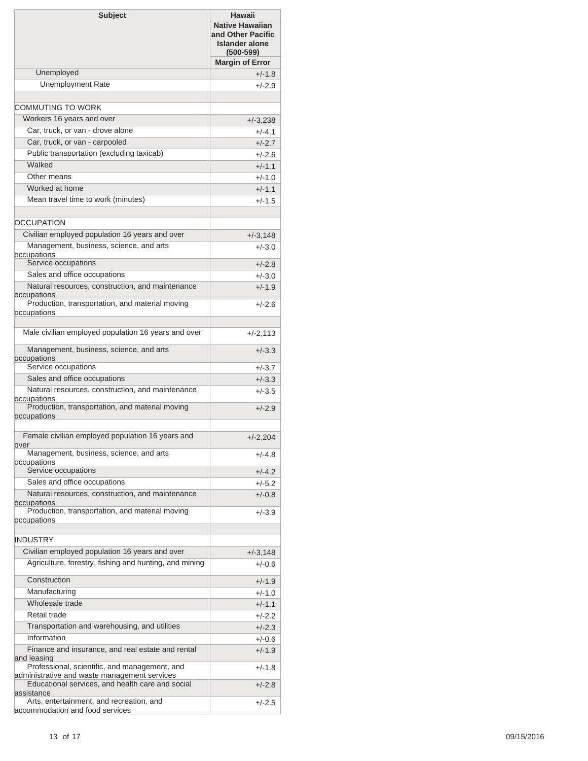| <b>Subject</b>                                                                                                                                    | <b>Hawaii</b><br><b>Native Hawaiian</b><br>and Other Pacific<br><b>Islander alone</b><br>$(500 - 599)$ |
|---------------------------------------------------------------------------------------------------------------------------------------------------|--------------------------------------------------------------------------------------------------------|
|                                                                                                                                                   | <b>Margin of Error</b>                                                                                 |
| Unemployed                                                                                                                                        | $+/-1.8$                                                                                               |
| <b>Unemployment Rate</b>                                                                                                                          | $+/-2.9$                                                                                               |
|                                                                                                                                                   |                                                                                                        |
| COMMUTING TO WORK                                                                                                                                 |                                                                                                        |
| Workers 16 years and over                                                                                                                         | $+/-3,238$                                                                                             |
| Car, truck, or van - drove alone<br>Car, truck, or van - carpooled                                                                                | $+/-4.1$                                                                                               |
| Public transportation (excluding taxicab)                                                                                                         | $+/-2.7$<br>$+/-2.6$                                                                                   |
| Walked                                                                                                                                            | $+/-1.1$                                                                                               |
| Other means                                                                                                                                       | $+/-1.0$                                                                                               |
| Worked at home                                                                                                                                    | $+/-1.1$                                                                                               |
| Mean travel time to work (minutes)                                                                                                                | $+/-1.5$                                                                                               |
|                                                                                                                                                   |                                                                                                        |
| <b>OCCUPATION</b>                                                                                                                                 |                                                                                                        |
| Civilian employed population 16 years and over                                                                                                    | $+/-3,148$                                                                                             |
| Management, business, science, and arts                                                                                                           | $+/-3.0$                                                                                               |
| occupations                                                                                                                                       |                                                                                                        |
| Service occupations                                                                                                                               | $+/-2.8$                                                                                               |
| Sales and office occupations<br>Natural resources, construction, and maintenance                                                                  | $+/-3.0$                                                                                               |
| occupations                                                                                                                                       | $+/-1.9$                                                                                               |
| Production, transportation, and material moving<br>occupations                                                                                    | $+/-2.6$                                                                                               |
| Male civilian employed population 16 years and over                                                                                               | $+/-2,113$                                                                                             |
| Management, business, science, and arts<br>occupations                                                                                            | $+/-3.3$                                                                                               |
| Service occupations                                                                                                                               | $+/-3.7$                                                                                               |
| Sales and office occupations                                                                                                                      | $+/-3.3$                                                                                               |
| Natural resources, construction, and maintenance<br>occupations                                                                                   | $+/-3.5$                                                                                               |
| Production, transportation, and material moving<br>occupations                                                                                    | $+/-2.9$                                                                                               |
| Female civilian employed population 16 years and<br>over                                                                                          | $+/-2,204$                                                                                             |
| Management, business, science, and arts<br>occupations                                                                                            | $+/-4.8$                                                                                               |
| Service occupations                                                                                                                               | $+/-4.2$                                                                                               |
| Sales and office occupations                                                                                                                      | $+/-5.2$                                                                                               |
| Natural resources, construction, and maintenance<br>occupations                                                                                   | $+/-0.8$                                                                                               |
| Production, transportation, and material moving<br>occupations                                                                                    | $+/-3.9$                                                                                               |
|                                                                                                                                                   |                                                                                                        |
| <b>INDUSTRY</b>                                                                                                                                   |                                                                                                        |
| Civilian employed population 16 years and over                                                                                                    | $+/-3,148$                                                                                             |
| Agriculture, forestry, fishing and hunting, and mining                                                                                            | $+/-0.6$                                                                                               |
| Construction                                                                                                                                      | $+/-1.9$                                                                                               |
| Manufacturing                                                                                                                                     | $+/-1.0$                                                                                               |
| Wholesale trade                                                                                                                                   | $+/-1.1$                                                                                               |
| Retail trade                                                                                                                                      | $+/-2.2$                                                                                               |
| Transportation and warehousing, and utilities                                                                                                     | $+/-2.3$                                                                                               |
| Information                                                                                                                                       | $+/-0.6$                                                                                               |
| Finance and insurance, and real estate and rental<br>and leasing                                                                                  | $+/-1.9$                                                                                               |
| Professional, scientific, and management, and<br>administrative and waste management services<br>Educational services, and health care and social | $+/-1.8$<br>$+/-2.8$                                                                                   |
| assistance<br>Arts, entertainment, and recreation, and                                                                                            | $+/-2.5$                                                                                               |
| accommodation and food services                                                                                                                   |                                                                                                        |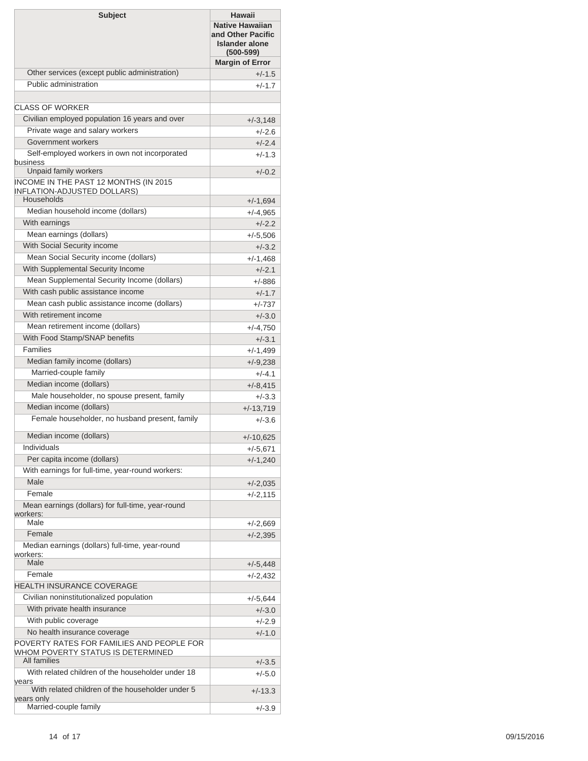| <b>Subject</b>                                                                                                 | <b>Hawaii</b><br><b>Native Hawaiian</b><br>and Other Pacific<br><b>Islander alone</b><br>$(500 - 599)$ |
|----------------------------------------------------------------------------------------------------------------|--------------------------------------------------------------------------------------------------------|
|                                                                                                                | <b>Margin of Error</b>                                                                                 |
| Other services (except public administration)                                                                  | $+/-1.5$                                                                                               |
| Public administration                                                                                          | $+/-1.7$                                                                                               |
| CLASS OF WORKER                                                                                                |                                                                                                        |
| Civilian employed population 16 years and over                                                                 |                                                                                                        |
| Private wage and salary workers                                                                                | $+/-3,148$                                                                                             |
| Government workers                                                                                             | $+/-2.6$                                                                                               |
| Self-employed workers in own not incorporated                                                                  | $+/-2.4$                                                                                               |
| business                                                                                                       | $+/-1.3$                                                                                               |
| Unpaid family workers                                                                                          | $+/-0.2$                                                                                               |
| INCOME IN THE PAST 12 MONTHS (IN 2015<br><b>INFLATION-ADJUSTED DOLLARS)</b><br>Households                      |                                                                                                        |
| Median household income (dollars)                                                                              | $+/-1,694$                                                                                             |
| With earnings                                                                                                  | $+/-4,965$                                                                                             |
| Mean earnings (dollars)                                                                                        | $+/-2.2$                                                                                               |
| With Social Security income                                                                                    | $+/-5,506$                                                                                             |
| Mean Social Security income (dollars)                                                                          | $+/-3.2$                                                                                               |
| With Supplemental Security Income                                                                              | $+/-1,468$                                                                                             |
| Mean Supplemental Security Income (dollars)                                                                    | $+/-2.1$                                                                                               |
| With cash public assistance income                                                                             | +/-886<br>$+/-1.7$                                                                                     |
| Mean cash public assistance income (dollars)                                                                   | +/-737                                                                                                 |
| With retirement income                                                                                         | $+/-3.0$                                                                                               |
| Mean retirement income (dollars)                                                                               | $+/-4,750$                                                                                             |
| With Food Stamp/SNAP benefits                                                                                  | $+/-3.1$                                                                                               |
| <b>Families</b>                                                                                                | $+/-1,499$                                                                                             |
| Median family income (dollars)                                                                                 | $+/-9,238$                                                                                             |
| Married-couple family                                                                                          | $+/-4.1$                                                                                               |
| Median income (dollars)                                                                                        | $+/-8,415$                                                                                             |
| Male householder, no spouse present, family                                                                    | $+/-3.3$                                                                                               |
| Median income (dollars)                                                                                        | $+/-13,719$                                                                                            |
| Female householder, no husband present, family                                                                 | $+/-3.6$                                                                                               |
| Median income (dollars)                                                                                        | $+/-10,625$                                                                                            |
| Individuals                                                                                                    | $+/-5,671$                                                                                             |
| Per capita income (dollars)                                                                                    | $+/-1,240$                                                                                             |
| With earnings for full-time, year-round workers:                                                               |                                                                                                        |
| Male                                                                                                           | $+/-2,035$                                                                                             |
| Female                                                                                                         | $+/-2,115$                                                                                             |
| Mean earnings (dollars) for full-time, year-round<br>workers:                                                  |                                                                                                        |
| Male                                                                                                           | $+/-2,669$                                                                                             |
| Female                                                                                                         | $+/-2,395$                                                                                             |
| Median earnings (dollars) full-time, year-round<br>workers:<br>Male                                            |                                                                                                        |
| Female                                                                                                         | $+/-5,448$                                                                                             |
| HEALTH INSURANCE COVERAGE                                                                                      | $+/-2,432$                                                                                             |
| Civilian noninstitutionalized population                                                                       | $+/-5,644$                                                                                             |
| With private health insurance                                                                                  | $+/-3.0$                                                                                               |
| With public coverage                                                                                           | $+/-2.9$                                                                                               |
| No health insurance coverage                                                                                   | $+/-1.0$                                                                                               |
| POVERTY RATES FOR FAMILIES AND PEOPLE FOR                                                                      |                                                                                                        |
| WHOM POVERTY STATUS IS DETERMINED                                                                              |                                                                                                        |
| All families                                                                                                   | $+/-3.5$                                                                                               |
| With related children of the householder under 18<br>years<br>With related children of the householder under 5 | $+/-5.0$<br>$+/-13.3$                                                                                  |
| years only<br>Married-couple family                                                                            |                                                                                                        |
|                                                                                                                | $+/-3.9$                                                                                               |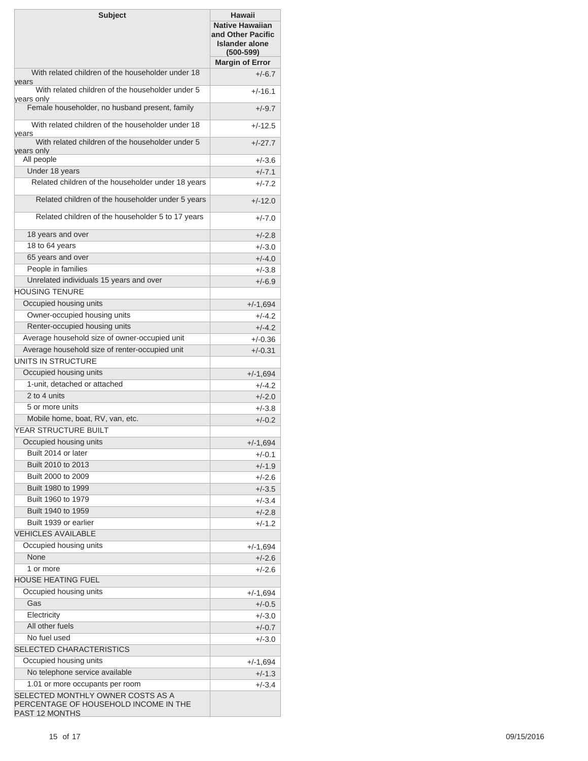| <b>Subject</b>                                                                               | Hawaii<br><b>Native Hawaiian</b><br>and Other Pacific<br><b>Islander alone</b><br>$(500-599)$ |
|----------------------------------------------------------------------------------------------|-----------------------------------------------------------------------------------------------|
| With related children of the householder under 18                                            | <b>Margin of Error</b><br>$+/-6.7$                                                            |
| years<br>With related children of the householder under 5                                    |                                                                                               |
| years only                                                                                   | $+/-16.1$                                                                                     |
| Female householder, no husband present, family                                               | $+/-9.7$                                                                                      |
| With related children of the householder under 18<br>years                                   | $+/-12.5$                                                                                     |
| With related children of the householder under 5<br>years only                               | $+/-27.7$                                                                                     |
| All people                                                                                   | $+/-3.6$                                                                                      |
| Under 18 years                                                                               | $+/-7.1$                                                                                      |
| Related children of the householder under 18 years                                           | $+/-7.2$                                                                                      |
| Related children of the householder under 5 years                                            | $+/-12.0$                                                                                     |
| Related children of the householder 5 to 17 years                                            | $+/-7.0$                                                                                      |
| 18 years and over                                                                            | $+/-2.8$                                                                                      |
| 18 to 64 years                                                                               | $+/-3.0$                                                                                      |
| 65 years and over                                                                            | $+/-4.0$                                                                                      |
| People in families                                                                           | $+/-3.8$                                                                                      |
| Unrelated individuals 15 years and over                                                      | $+/-6.9$                                                                                      |
| <b>HOUSING TENURE</b>                                                                        |                                                                                               |
| Occupied housing units                                                                       | $+/-1,694$                                                                                    |
| Owner-occupied housing units                                                                 | $+/-4.2$                                                                                      |
| Renter-occupied housing units                                                                | $+/-4.2$                                                                                      |
| Average household size of owner-occupied unit                                                | $+/-0.36$                                                                                     |
| Average household size of renter-occupied unit<br>UNITS IN STRUCTURE                         | $+/-0.31$                                                                                     |
| Occupied housing units                                                                       | $+/-1,694$                                                                                    |
| 1-unit, detached or attached                                                                 | $+/-4.2$                                                                                      |
| 2 to 4 units                                                                                 | $+/-2.0$                                                                                      |
| 5 or more units                                                                              | $+/-3.8$                                                                                      |
| Mobile home, boat, RV, van, etc.                                                             | $+/-0.2$                                                                                      |
| YEAR STRUCTURE BUILT                                                                         |                                                                                               |
| Occupied housing units                                                                       | $+/-1,694$                                                                                    |
| Built 2014 or later                                                                          | +/-0.1                                                                                        |
| Built 2010 to 2013                                                                           | $+/-1.9$                                                                                      |
| Built 2000 to 2009                                                                           | $+/-2.6$                                                                                      |
| Built 1980 to 1999                                                                           | $+/-3.5$                                                                                      |
| Built 1960 to 1979                                                                           | $+/-3.4$                                                                                      |
| Built 1940 to 1959                                                                           | $+/-2.8$                                                                                      |
| Built 1939 or earlier<br><b>VEHICLES AVAILABLE</b>                                           | $+/-1.2$                                                                                      |
| Occupied housing units                                                                       |                                                                                               |
| None                                                                                         | $+/-1,694$                                                                                    |
| 1 or more                                                                                    | $+/-2.6$<br>$+/-2.6$                                                                          |
| <b>HOUSE HEATING FUEL</b>                                                                    |                                                                                               |
| Occupied housing units                                                                       | $+/-1,694$                                                                                    |
| Gas                                                                                          | $+/-0.5$                                                                                      |
| Electricity                                                                                  | $+/-3.0$                                                                                      |
| All other fuels                                                                              | $+/-0.7$                                                                                      |
| No fuel used                                                                                 | $+/-3.0$                                                                                      |
| <b>SELECTED CHARACTERISTICS</b>                                                              |                                                                                               |
| Occupied housing units                                                                       | $+/-1,694$                                                                                    |
| No telephone service available                                                               | $+/-1.3$                                                                                      |
| 1.01 or more occupants per room                                                              | $+/-3.4$                                                                                      |
| SELECTED MONTHLY OWNER COSTS AS A<br>PERCENTAGE OF HOUSEHOLD INCOME IN THE<br>PAST 12 MONTHS |                                                                                               |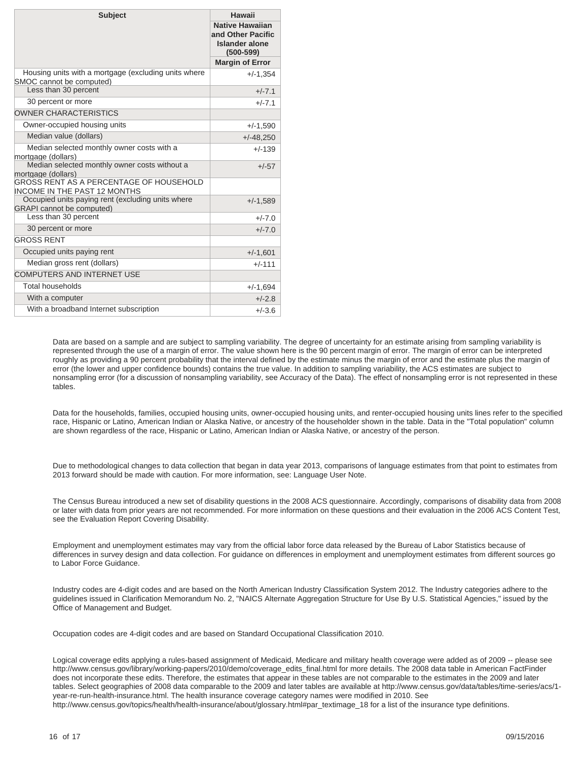| <b>Subject</b>                                                                        | Hawaii                                                                                |
|---------------------------------------------------------------------------------------|---------------------------------------------------------------------------------------|
|                                                                                       | <b>Native Hawaiian</b><br>and Other Pacific<br><b>Islander alone</b><br>$(500 - 599)$ |
|                                                                                       | <b>Margin of Error</b>                                                                |
| Housing units with a mortgage (excluding units where<br>SMOC cannot be computed)      | $+/-1,354$                                                                            |
| Less than 30 percent                                                                  | $+/-7.1$                                                                              |
| 30 percent or more                                                                    | $+/-7.1$                                                                              |
| <b>OWNER CHARACTERISTICS</b>                                                          |                                                                                       |
| Owner-occupied housing units                                                          | $+/-1,590$                                                                            |
| Median value (dollars)                                                                | $+/-48,250$                                                                           |
| Median selected monthly owner costs with a<br>mortgage (dollars)                      | $+/-139$                                                                              |
| Median selected monthly owner costs without a<br>mortgage (dollars)                   | $+/-57$                                                                               |
| GROSS RENT AS A PERCENTAGE OF HOUSEHOLD<br><b>INCOME IN THE PAST 12 MONTHS</b>        |                                                                                       |
| Occupied units paying rent (excluding units where<br><b>GRAPI</b> cannot be computed) | $+/-1,589$                                                                            |
| Less than 30 percent                                                                  | $+/-7.0$                                                                              |
| 30 percent or more                                                                    | $+/-7.0$                                                                              |
| <b>GROSS RENT</b>                                                                     |                                                                                       |
| Occupied units paying rent                                                            | $+/-1,601$                                                                            |
| Median gross rent (dollars)                                                           | $+/-111$                                                                              |
| <b>COMPUTERS AND INTERNET USE</b>                                                     |                                                                                       |
| Total households                                                                      | $+/-1,694$                                                                            |
| With a computer                                                                       | $+/-2.8$                                                                              |
| With a broadband Internet subscription                                                | $+/-3.6$                                                                              |

Data are based on a sample and are subject to sampling variability. The degree of uncertainty for an estimate arising from sampling variability is represented through the use of a margin of error. The value shown here is the 90 percent margin of error. The margin of error can be interpreted roughly as providing a 90 percent probability that the interval defined by the estimate minus the margin of error and the estimate plus the margin of error (the lower and upper confidence bounds) contains the true value. In addition to sampling variability, the ACS estimates are subject to nonsampling error (for a discussion of nonsampling variability, see Accuracy of the Data). The effect of nonsampling error is not represented in these tables.

Data for the households, families, occupied housing units, owner-occupied housing units, and renter-occupied housing units lines refer to the specified race, Hispanic or Latino, American Indian or Alaska Native, or ancestry of the householder shown in the table. Data in the "Total population" column are shown regardless of the race, Hispanic or Latino, American Indian or Alaska Native, or ancestry of the person.

Due to methodological changes to data collection that began in data year 2013, comparisons of language estimates from that point to estimates from 2013 forward should be made with caution. For more information, see: Language User Note.

The Census Bureau introduced a new set of disability questions in the 2008 ACS questionnaire. Accordingly, comparisons of disability data from 2008 or later with data from prior years are not recommended. For more information on these questions and their evaluation in the 2006 ACS Content Test, see the Evaluation Report Covering Disability.

Employment and unemployment estimates may vary from the official labor force data released by the Bureau of Labor Statistics because of differences in survey design and data collection. For guidance on differences in employment and unemployment estimates from different sources go to Labor Force Guidance.

Industry codes are 4-digit codes and are based on the North American Industry Classification System 2012. The Industry categories adhere to the guidelines issued in Clarification Memorandum No. 2, "NAICS Alternate Aggregation Structure for Use By U.S. Statistical Agencies," issued by the Office of Management and Budget.

Occupation codes are 4-digit codes and are based on Standard Occupational Classification 2010.

Logical coverage edits applying a rules-based assignment of Medicaid, Medicare and military health coverage were added as of 2009 -- please see http://www.census.gov/library/working-papers/2010/demo/coverage\_edits\_final.html for more details. The 2008 data table in American FactFinder does not incorporate these edits. Therefore, the estimates that appear in these tables are not comparable to the estimates in the 2009 and later tables. Select geographies of 2008 data comparable to the 2009 and later tables are available at http://www.census.gov/data/tables/time-series/acs/1 year-re-run-health-insurance.html. The health insurance coverage category names were modified in 2010. See http://www.census.gov/topics/health/health-insurance/about/glossary.html#par\_textimage\_18 for a list of the insurance type definitions.